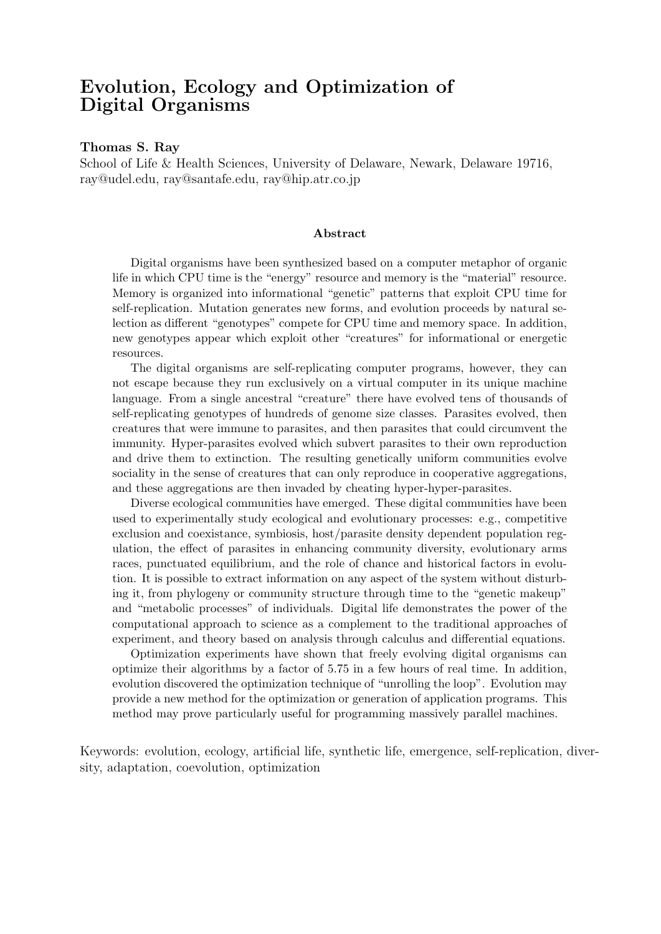# Evolution, Ecology and Optimization of Digital Organisms

#### Thomas S. Ray

School of Life & Health Sciences, University of Delaware, Newark, Delaware 19716, ray@udel.edu, ray@santafe.edu, ray@hip.atr.co.jp

#### Abstract

Digital organisms have been synthesized based on a computer metaphor of organic life in which CPU time is the "energy" resource and memory is the "material" resource. Memory is organized into informational "genetic" patterns that exploit CPU time for self-replication. Mutation generates new forms, and evolution proceeds by natural selection as different "genotypes" compete for CPU time and memory space. In addition, new genotypes appear which exploit other "creatures" for informational or energetic resources.

The digital organisms are self-replicating computer programs, however, they can not escape because they run exclusively on a virtual computer in its unique machine language. From a single ancestral "creature" there have evolved tens of thousands of self-replicating genotypes of hundreds of genome size classes. Parasites evolved, then creatures that were immune to parasites, and then parasites that could circumvent the immunity. Hyper-parasites evolved which subvert parasites to their own reproduction and drive them to extinction. The resulting genetically uniform communities evolve sociality in the sense of creatures that can only reproduce in cooperative aggregations, and these aggregations are then invaded by cheating hyper-hyper-parasites.

Diverse ecological communities have emerged. These digital communities have been used to experimentally study ecological and evolutionary processes: e.g., competitive exclusion and coexistance, symbiosis, host/parasite density dependent population regulation, the effect of parasites in enhancing community diversity, evolutionary arms races, punctuated equilibrium, and the role of chance and historical factors in evolution. It is possible to extract information on any aspect of the system without disturbing it, from phylogeny or community structure through time to the "genetic makeup" and "metabolic processes" of individuals. Digital life demonstrates the power of the computational approach to science as a complement to the traditional approaches of experiment, and theory based on analysis through calculus and differential equations.

Optimization experiments have shown that freely evolving digital organisms can optimize their algorithms by a factor of 5.75 in a few hours of real time. In addition, evolution discovered the optimization technique of "unrolling the loop". Evolution may provide a new method for the optimization or generation of application programs. This method may prove particularly useful for programming massively parallel machines.

Keywords: evolution, ecology, artificial life, synthetic life, emergence, self-replication, diversity, adaptation, coevolution, optimization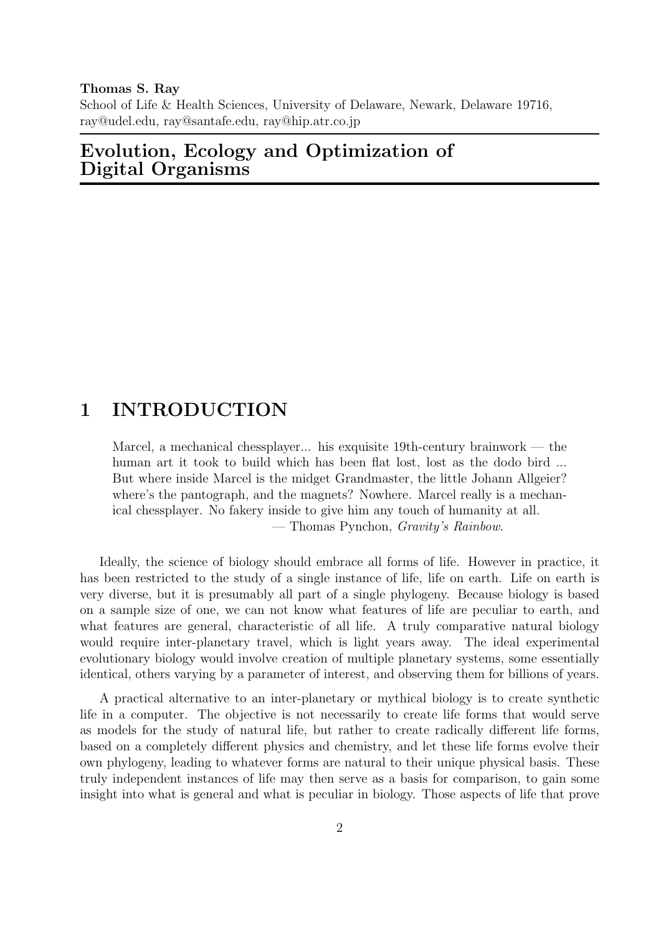### Thomas S. Ray School of Life & Health Sciences, University of Delaware, Newark, Delaware 19716, ray@udel.edu, ray@santafe.edu, ray@hip.atr.co.jp

## Evolution, Ecology and Optimization of Digital Organisms

# 1 INTRODUCTION

Marcel, a mechanical chessplayer... his exquisite 19th-century brainwork — the human art it took to build which has been flat lost, lost as the dodo bird ... But where inside Marcel is the midget Grandmaster, the little Johann Allgeier? where's the pantograph, and the magnets? Nowhere. Marcel really is a mechanical chessplayer. No fakery inside to give him any touch of humanity at all. — Thomas Pynchon, Gravity's Rainbow.

Ideally, the science of biology should embrace all forms of life. However in practice, it has been restricted to the study of a single instance of life, life on earth. Life on earth is very diverse, but it is presumably all part of a single phylogeny. Because biology is based on a sample size of one, we can not know what features of life are peculiar to earth, and what features are general, characteristic of all life. A truly comparative natural biology would require inter-planetary travel, which is light years away. The ideal experimental evolutionary biology would involve creation of multiple planetary systems, some essentially identical, others varying by a parameter of interest, and observing them for billions of years.

A practical alternative to an inter-planetary or mythical biology is to create synthetic life in a computer. The objective is not necessarily to create life forms that would serve as models for the study of natural life, but rather to create radically different life forms, based on a completely different physics and chemistry, and let these life forms evolve their own phylogeny, leading to whatever forms are natural to their unique physical basis. These truly independent instances of life may then serve as a basis for comparison, to gain some insight into what is general and what is peculiar in biology. Those aspects of life that prove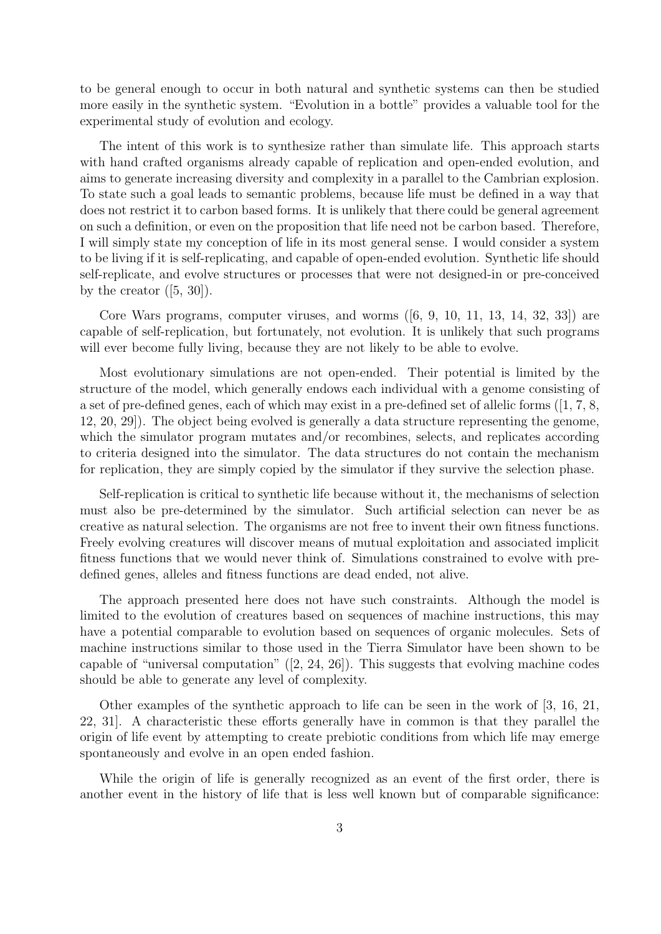to be general enough to occur in both natural and synthetic systems can then be studied more easily in the synthetic system. "Evolution in a bottle" provides a valuable tool for the experimental study of evolution and ecology.

The intent of this work is to synthesize rather than simulate life. This approach starts with hand crafted organisms already capable of replication and open-ended evolution, and aims to generate increasing diversity and complexity in a parallel to the Cambrian explosion. To state such a goal leads to semantic problems, because life must be defined in a way that does not restrict it to carbon based forms. It is unlikely that there could be general agreement on such a definition, or even on the proposition that life need not be carbon based. Therefore, I will simply state my conception of life in its most general sense. I would consider a system to be living if it is self-replicating, and capable of open-ended evolution. Synthetic life should self-replicate, and evolve structures or processes that were not designed-in or pre-conceived by the creator  $([5, 30])$ .

Core Wars programs, computer viruses, and worms  $([6, 9, 10, 11, 13, 14, 32, 33])$  are capable of self-replication, but fortunately, not evolution. It is unlikely that such programs will ever become fully living, because they are not likely to be able to evolve.

Most evolutionary simulations are not open-ended. Their potential is limited by the structure of the model, which generally endows each individual with a genome consisting of a set of pre-defined genes, each of which may exist in a pre-defined set of allelic forms ([1, 7, 8, 12, 20, 29]). The object being evolved is generally a data structure representing the genome, which the simulator program mutates and/or recombines, selects, and replicates according to criteria designed into the simulator. The data structures do not contain the mechanism for replication, they are simply copied by the simulator if they survive the selection phase.

Self-replication is critical to synthetic life because without it, the mechanisms of selection must also be pre-determined by the simulator. Such artificial selection can never be as creative as natural selection. The organisms are not free to invent their own fitness functions. Freely evolving creatures will discover means of mutual exploitation and associated implicit fitness functions that we would never think of. Simulations constrained to evolve with predefined genes, alleles and fitness functions are dead ended, not alive.

The approach presented here does not have such constraints. Although the model is limited to the evolution of creatures based on sequences of machine instructions, this may have a potential comparable to evolution based on sequences of organic molecules. Sets of machine instructions similar to those used in the Tierra Simulator have been shown to be capable of "universal computation" ([2, 24, 26]). This suggests that evolving machine codes should be able to generate any level of complexity.

Other examples of the synthetic approach to life can be seen in the work of [3, 16, 21, 22, 31]. A characteristic these efforts generally have in common is that they parallel the origin of life event by attempting to create prebiotic conditions from which life may emerge spontaneously and evolve in an open ended fashion.

While the origin of life is generally recognized as an event of the first order, there is another event in the history of life that is less well known but of comparable significance: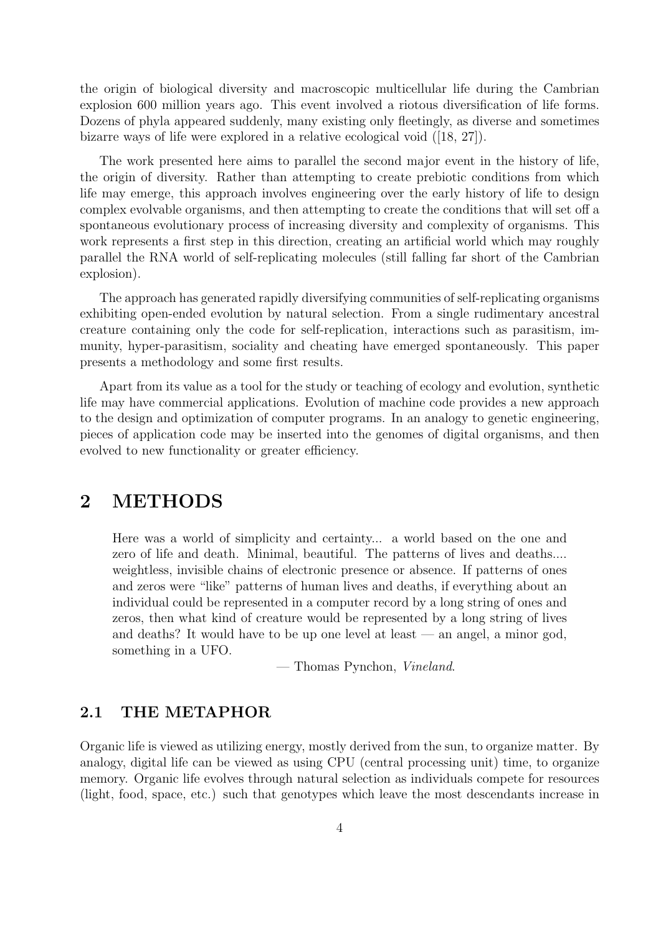the origin of biological diversity and macroscopic multicellular life during the Cambrian explosion 600 million years ago. This event involved a riotous diversification of life forms. Dozens of phyla appeared suddenly, many existing only fleetingly, as diverse and sometimes bizarre ways of life were explored in a relative ecological void ([18, 27]).

The work presented here aims to parallel the second major event in the history of life, the origin of diversity. Rather than attempting to create prebiotic conditions from which life may emerge, this approach involves engineering over the early history of life to design complex evolvable organisms, and then attempting to create the conditions that will set off a spontaneous evolutionary process of increasing diversity and complexity of organisms. This work represents a first step in this direction, creating an artificial world which may roughly parallel the RNA world of self-replicating molecules (still falling far short of the Cambrian explosion).

The approach has generated rapidly diversifying communities of self-replicating organisms exhibiting open-ended evolution by natural selection. From a single rudimentary ancestral creature containing only the code for self-replication, interactions such as parasitism, immunity, hyper-parasitism, sociality and cheating have emerged spontaneously. This paper presents a methodology and some first results.

Apart from its value as a tool for the study or teaching of ecology and evolution, synthetic life may have commercial applications. Evolution of machine code provides a new approach to the design and optimization of computer programs. In an analogy to genetic engineering, pieces of application code may be inserted into the genomes of digital organisms, and then evolved to new functionality or greater efficiency.

# 2 METHODS

Here was a world of simplicity and certainty... a world based on the one and zero of life and death. Minimal, beautiful. The patterns of lives and deaths.... weightless, invisible chains of electronic presence or absence. If patterns of ones and zeros were "like" patterns of human lives and deaths, if everything about an individual could be represented in a computer record by a long string of ones and zeros, then what kind of creature would be represented by a long string of lives and deaths? It would have to be up one level at least — an angel, a minor god, something in a UFO.

— Thomas Pynchon, Vineland.

### 2.1 THE METAPHOR

Organic life is viewed as utilizing energy, mostly derived from the sun, to organize matter. By analogy, digital life can be viewed as using CPU (central processing unit) time, to organize memory. Organic life evolves through natural selection as individuals compete for resources (light, food, space, etc.) such that genotypes which leave the most descendants increase in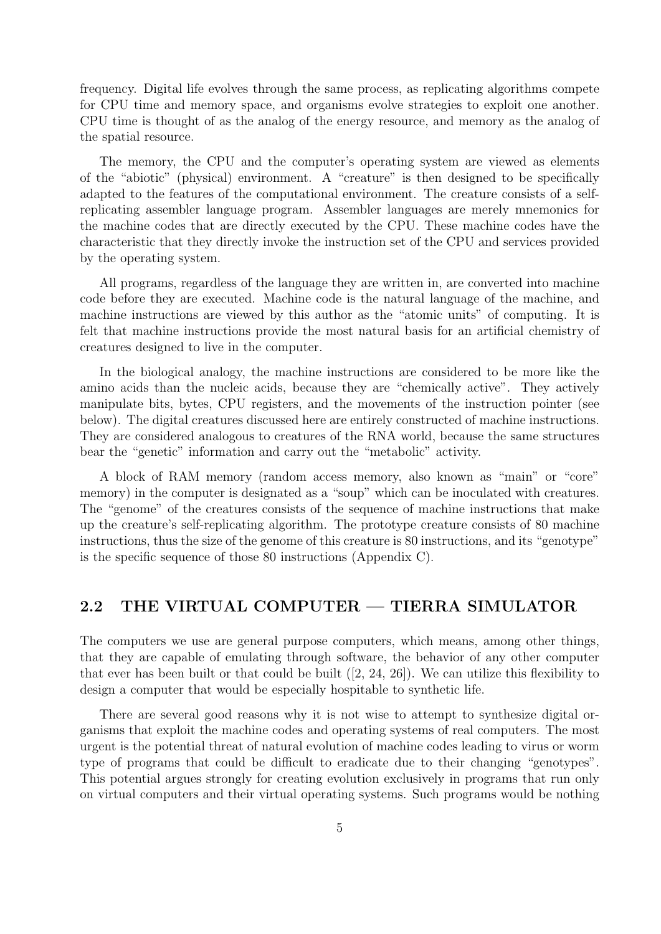frequency. Digital life evolves through the same process, as replicating algorithms compete for CPU time and memory space, and organisms evolve strategies to exploit one another. CPU time is thought of as the analog of the energy resource, and memory as the analog of the spatial resource.

The memory, the CPU and the computer's operating system are viewed as elements of the "abiotic" (physical) environment. A "creature" is then designed to be specifically adapted to the features of the computational environment. The creature consists of a selfreplicating assembler language program. Assembler languages are merely mnemonics for the machine codes that are directly executed by the CPU. These machine codes have the characteristic that they directly invoke the instruction set of the CPU and services provided by the operating system.

All programs, regardless of the language they are written in, are converted into machine code before they are executed. Machine code is the natural language of the machine, and machine instructions are viewed by this author as the "atomic units" of computing. It is felt that machine instructions provide the most natural basis for an artificial chemistry of creatures designed to live in the computer.

In the biological analogy, the machine instructions are considered to be more like the amino acids than the nucleic acids, because they are "chemically active". They actively manipulate bits, bytes, CPU registers, and the movements of the instruction pointer (see below). The digital creatures discussed here are entirely constructed of machine instructions. They are considered analogous to creatures of the RNA world, because the same structures bear the "genetic" information and carry out the "metabolic" activity.

A block of RAM memory (random access memory, also known as "main" or "core" memory) in the computer is designated as a "soup" which can be inoculated with creatures. The "genome" of the creatures consists of the sequence of machine instructions that make up the creature's self-replicating algorithm. The prototype creature consists of 80 machine instructions, thus the size of the genome of this creature is 80 instructions, and its "genotype" is the specific sequence of those 80 instructions (Appendix C).

## 2.2 THE VIRTUAL COMPUTER — TIERRA SIMULATOR

The computers we use are general purpose computers, which means, among other things, that they are capable of emulating through software, the behavior of any other computer that ever has been built or that could be built ([2, 24, 26]). We can utilize this flexibility to design a computer that would be especially hospitable to synthetic life.

There are several good reasons why it is not wise to attempt to synthesize digital organisms that exploit the machine codes and operating systems of real computers. The most urgent is the potential threat of natural evolution of machine codes leading to virus or worm type of programs that could be difficult to eradicate due to their changing "genotypes". This potential argues strongly for creating evolution exclusively in programs that run only on virtual computers and their virtual operating systems. Such programs would be nothing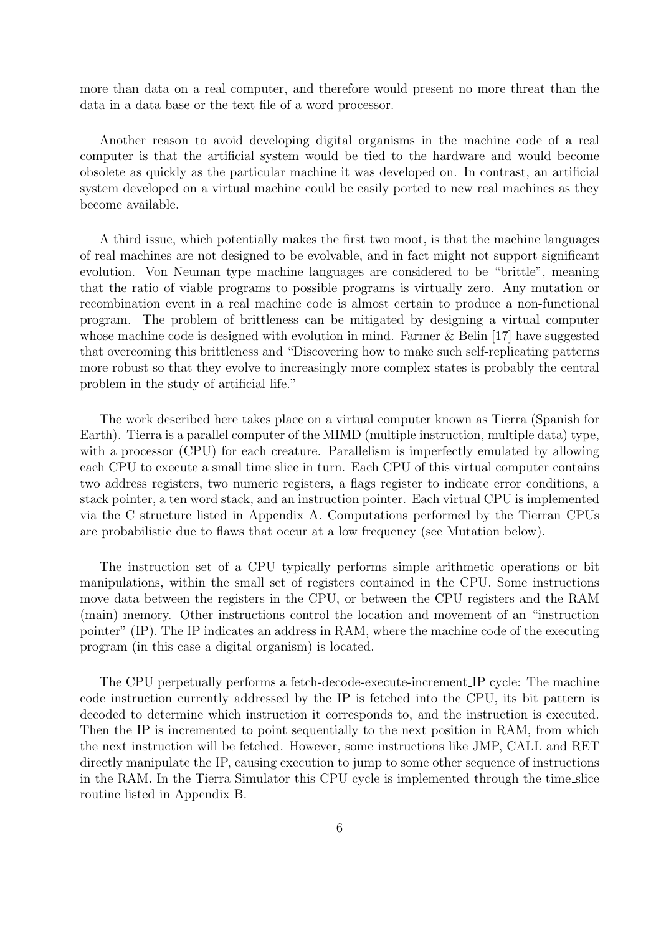more than data on a real computer, and therefore would present no more threat than the data in a data base or the text file of a word processor.

Another reason to avoid developing digital organisms in the machine code of a real computer is that the artificial system would be tied to the hardware and would become obsolete as quickly as the particular machine it was developed on. In contrast, an artificial system developed on a virtual machine could be easily ported to new real machines as they become available.

A third issue, which potentially makes the first two moot, is that the machine languages of real machines are not designed to be evolvable, and in fact might not support significant evolution. Von Neuman type machine languages are considered to be "brittle", meaning that the ratio of viable programs to possible programs is virtually zero. Any mutation or recombination event in a real machine code is almost certain to produce a non-functional program. The problem of brittleness can be mitigated by designing a virtual computer whose machine code is designed with evolution in mind. Farmer & Belin [17] have suggested that overcoming this brittleness and "Discovering how to make such self-replicating patterns more robust so that they evolve to increasingly more complex states is probably the central problem in the study of artificial life."

The work described here takes place on a virtual computer known as Tierra (Spanish for Earth). Tierra is a parallel computer of the MIMD (multiple instruction, multiple data) type, with a processor (CPU) for each creature. Parallelism is imperfectly emulated by allowing each CPU to execute a small time slice in turn. Each CPU of this virtual computer contains two address registers, two numeric registers, a flags register to indicate error conditions, a stack pointer, a ten word stack, and an instruction pointer. Each virtual CPU is implemented via the C structure listed in Appendix A. Computations performed by the Tierran CPUs are probabilistic due to flaws that occur at a low frequency (see Mutation below).

The instruction set of a CPU typically performs simple arithmetic operations or bit manipulations, within the small set of registers contained in the CPU. Some instructions move data between the registers in the CPU, or between the CPU registers and the RAM (main) memory. Other instructions control the location and movement of an "instruction pointer" (IP). The IP indicates an address in RAM, where the machine code of the executing program (in this case a digital organism) is located.

The CPU perpetually performs a fetch-decode-execute-increment IP cycle: The machine code instruction currently addressed by the IP is fetched into the CPU, its bit pattern is decoded to determine which instruction it corresponds to, and the instruction is executed. Then the IP is incremented to point sequentially to the next position in RAM, from which the next instruction will be fetched. However, some instructions like JMP, CALL and RET directly manipulate the IP, causing execution to jump to some other sequence of instructions in the RAM. In the Tierra Simulator this CPU cycle is implemented through the time slice routine listed in Appendix B.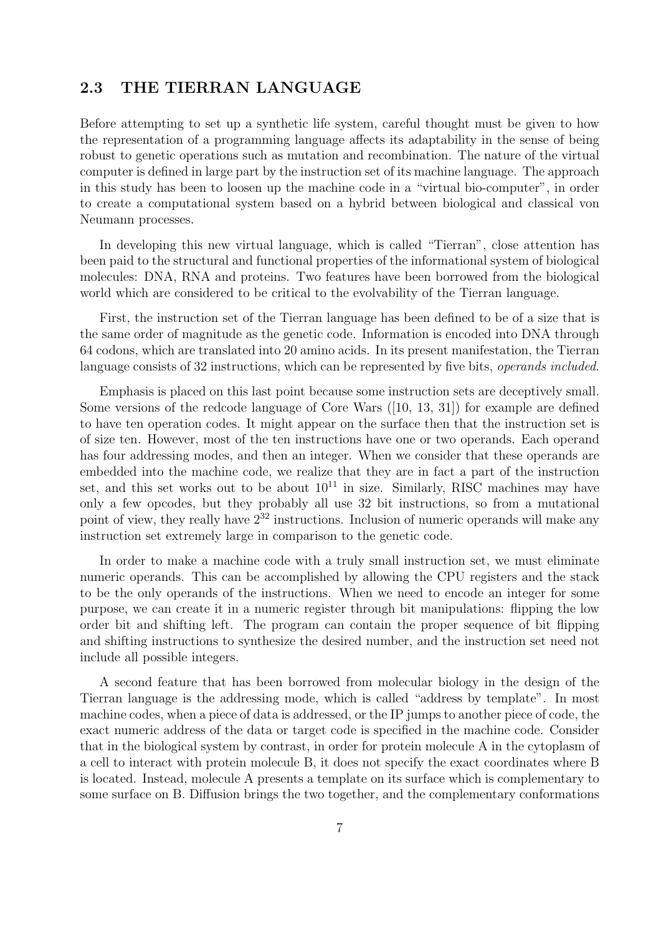## 2.3 THE TIERRAN LANGUAGE

Before attempting to set up a synthetic life system, careful thought must be given to how the representation of a programming language affects its adaptability in the sense of being robust to genetic operations such as mutation and recombination. The nature of the virtual computer is defined in large part by the instruction set of its machine language. The approach in this study has been to loosen up the machine code in a "virtual bio-computer", in order to create a computational system based on a hybrid between biological and classical von Neumann processes.

In developing this new virtual language, which is called "Tierran", close attention has been paid to the structural and functional properties of the informational system of biological molecules: DNA, RNA and proteins. Two features have been borrowed from the biological world which are considered to be critical to the evolvability of the Tierran language.

First, the instruction set of the Tierran language has been defined to be of a size that is the same order of magnitude as the genetic code. Information is encoded into DNA through 64 codons, which are translated into 20 amino acids. In its present manifestation, the Tierran language consists of 32 instructions, which can be represented by five bits, *operands included*.

Emphasis is placed on this last point because some instruction sets are deceptively small. Some versions of the redcode language of Core Wars ([10, 13, 31]) for example are defined to have ten operation codes. It might appear on the surface then that the instruction set is of size ten. However, most of the ten instructions have one or two operands. Each operand has four addressing modes, and then an integer. When we consider that these operands are embedded into the machine code, we realize that they are in fact a part of the instruction set, and this set works out to be about  $10^{11}$  in size. Similarly, RISC machines may have only a few opcodes, but they probably all use 32 bit instructions, so from a mutational point of view, they really have  $2^{32}$  instructions. Inclusion of numeric operands will make any instruction set extremely large in comparison to the genetic code.

In order to make a machine code with a truly small instruction set, we must eliminate numeric operands. This can be accomplished by allowing the CPU registers and the stack to be the only operands of the instructions. When we need to encode an integer for some purpose, we can create it in a numeric register through bit manipulations: flipping the low order bit and shifting left. The program can contain the proper sequence of bit flipping and shifting instructions to synthesize the desired number, and the instruction set need not include all possible integers.

A second feature that has been borrowed from molecular biology in the design of the Tierran language is the addressing mode, which is called "address by template". In most machine codes, when a piece of data is addressed, or the IP jumps to another piece of code, the exact numeric address of the data or target code is specified in the machine code. Consider that in the biological system by contrast, in order for protein molecule A in the cytoplasm of a cell to interact with protein molecule B, it does not specify the exact coordinates where B is located. Instead, molecule A presents a template on its surface which is complementary to some surface on B. Diffusion brings the two together, and the complementary conformations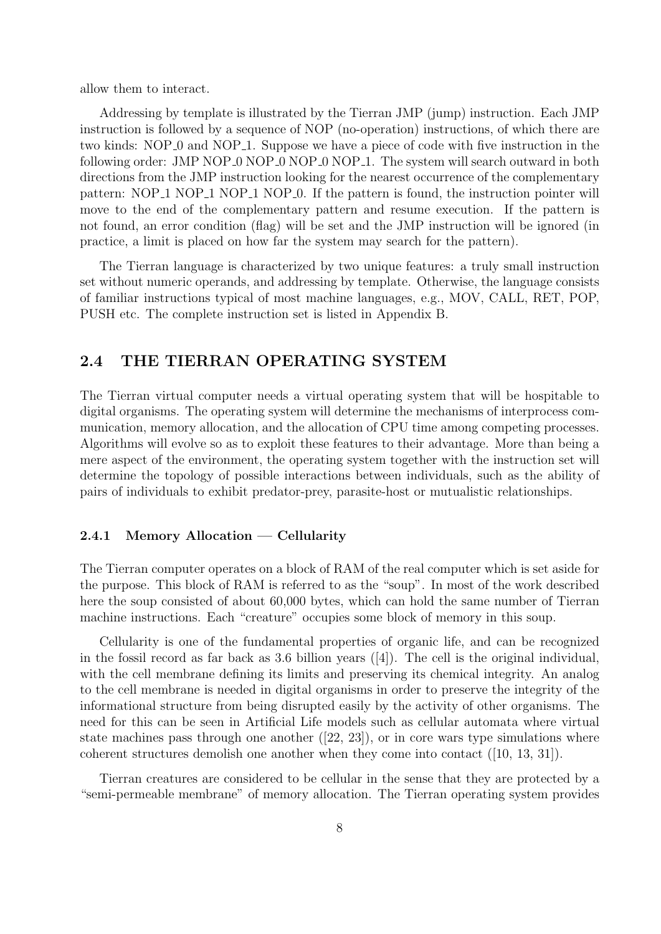allow them to interact.

Addressing by template is illustrated by the Tierran JMP (jump) instruction. Each JMP instruction is followed by a sequence of NOP (no-operation) instructions, of which there are two kinds: NOP<sub>-0</sub> and NOP<sub>-1</sub>. Suppose we have a piece of code with five instruction in the following order: JMP NOP<sub>-0</sub> NOP<sub>-0</sub> NOP<sub>-0</sub> NOP<sub>-1</sub>. The system will search outward in both directions from the JMP instruction looking for the nearest occurrence of the complementary pattern: NOP<sub>-1</sub> NOP<sub>-1</sub> NOP<sub>-1</sub> NOP<sub>-0</sub>. If the pattern is found, the instruction pointer will move to the end of the complementary pattern and resume execution. If the pattern is not found, an error condition (flag) will be set and the JMP instruction will be ignored (in practice, a limit is placed on how far the system may search for the pattern).

The Tierran language is characterized by two unique features: a truly small instruction set without numeric operands, and addressing by template. Otherwise, the language consists of familiar instructions typical of most machine languages, e.g., MOV, CALL, RET, POP, PUSH etc. The complete instruction set is listed in Appendix B.

### 2.4 THE TIERRAN OPERATING SYSTEM

The Tierran virtual computer needs a virtual operating system that will be hospitable to digital organisms. The operating system will determine the mechanisms of interprocess communication, memory allocation, and the allocation of CPU time among competing processes. Algorithms will evolve so as to exploit these features to their advantage. More than being a mere aspect of the environment, the operating system together with the instruction set will determine the topology of possible interactions between individuals, such as the ability of pairs of individuals to exhibit predator-prey, parasite-host or mutualistic relationships.

#### 2.4.1 Memory Allocation — Cellularity

The Tierran computer operates on a block of RAM of the real computer which is set aside for the purpose. This block of RAM is referred to as the "soup". In most of the work described here the soup consisted of about 60,000 bytes, which can hold the same number of Tierran machine instructions. Each "creature" occupies some block of memory in this soup.

Cellularity is one of the fundamental properties of organic life, and can be recognized in the fossil record as far back as 3.6 billion years  $([4])$ . The cell is the original individual, with the cell membrane defining its limits and preserving its chemical integrity. An analog to the cell membrane is needed in digital organisms in order to preserve the integrity of the informational structure from being disrupted easily by the activity of other organisms. The need for this can be seen in Artificial Life models such as cellular automata where virtual state machines pass through one another  $([22, 23])$ , or in core wars type simulations where coherent structures demolish one another when they come into contact ([10, 13, 31]).

Tierran creatures are considered to be cellular in the sense that they are protected by a "semi-permeable membrane" of memory allocation. The Tierran operating system provides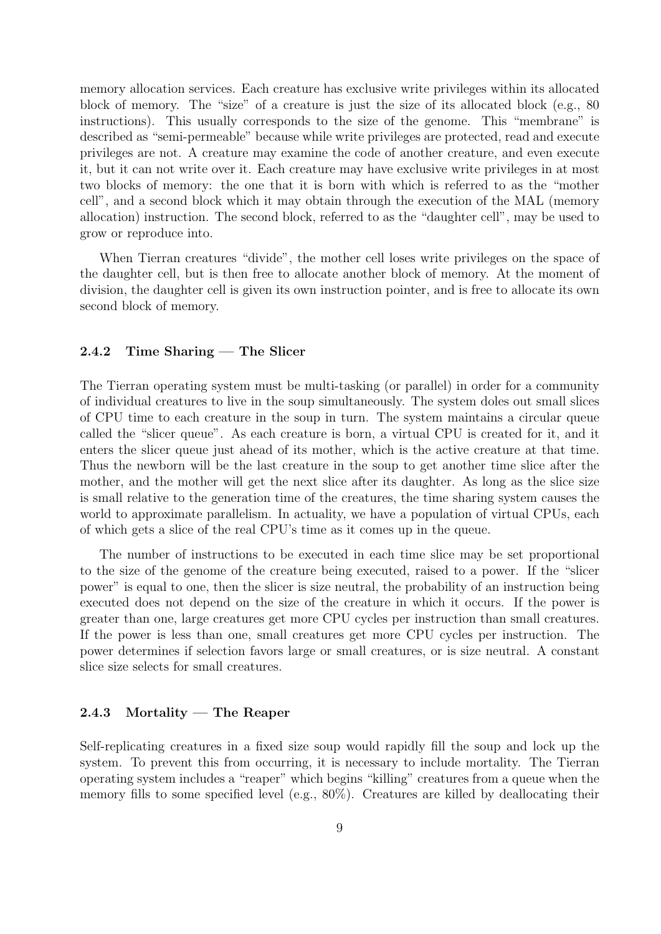memory allocation services. Each creature has exclusive write privileges within its allocated block of memory. The "size" of a creature is just the size of its allocated block (e.g., 80 instructions). This usually corresponds to the size of the genome. This "membrane" is described as "semi-permeable" because while write privileges are protected, read and execute privileges are not. A creature may examine the code of another creature, and even execute it, but it can not write over it. Each creature may have exclusive write privileges in at most two blocks of memory: the one that it is born with which is referred to as the "mother cell", and a second block which it may obtain through the execution of the MAL (memory allocation) instruction. The second block, referred to as the "daughter cell", may be used to grow or reproduce into.

When Tierran creatures "divide", the mother cell loses write privileges on the space of the daughter cell, but is then free to allocate another block of memory. At the moment of division, the daughter cell is given its own instruction pointer, and is free to allocate its own second block of memory.

#### 2.4.2 Time Sharing — The Slicer

The Tierran operating system must be multi-tasking (or parallel) in order for a community of individual creatures to live in the soup simultaneously. The system doles out small slices of CPU time to each creature in the soup in turn. The system maintains a circular queue called the "slicer queue". As each creature is born, a virtual CPU is created for it, and it enters the slicer queue just ahead of its mother, which is the active creature at that time. Thus the newborn will be the last creature in the soup to get another time slice after the mother, and the mother will get the next slice after its daughter. As long as the slice size is small relative to the generation time of the creatures, the time sharing system causes the world to approximate parallelism. In actuality, we have a population of virtual CPUs, each of which gets a slice of the real CPU's time as it comes up in the queue.

The number of instructions to be executed in each time slice may be set proportional to the size of the genome of the creature being executed, raised to a power. If the "slicer power" is equal to one, then the slicer is size neutral, the probability of an instruction being executed does not depend on the size of the creature in which it occurs. If the power is greater than one, large creatures get more CPU cycles per instruction than small creatures. If the power is less than one, small creatures get more CPU cycles per instruction. The power determines if selection favors large or small creatures, or is size neutral. A constant slice size selects for small creatures.

#### 2.4.3 Mortality — The Reaper

Self-replicating creatures in a fixed size soup would rapidly fill the soup and lock up the system. To prevent this from occurring, it is necessary to include mortality. The Tierran operating system includes a "reaper" which begins "killing" creatures from a queue when the memory fills to some specified level (e.g., 80%). Creatures are killed by deallocating their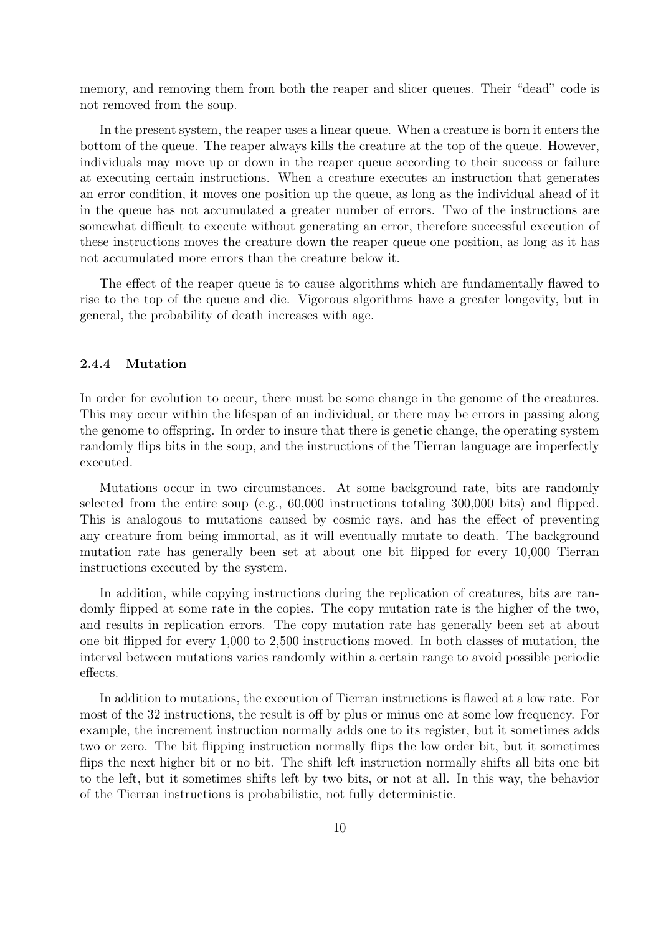memory, and removing them from both the reaper and slicer queues. Their "dead" code is not removed from the soup.

In the present system, the reaper uses a linear queue. When a creature is born it enters the bottom of the queue. The reaper always kills the creature at the top of the queue. However, individuals may move up or down in the reaper queue according to their success or failure at executing certain instructions. When a creature executes an instruction that generates an error condition, it moves one position up the queue, as long as the individual ahead of it in the queue has not accumulated a greater number of errors. Two of the instructions are somewhat difficult to execute without generating an error, therefore successful execution of these instructions moves the creature down the reaper queue one position, as long as it has not accumulated more errors than the creature below it.

The effect of the reaper queue is to cause algorithms which are fundamentally flawed to rise to the top of the queue and die. Vigorous algorithms have a greater longevity, but in general, the probability of death increases with age.

#### 2.4.4 Mutation

In order for evolution to occur, there must be some change in the genome of the creatures. This may occur within the lifespan of an individual, or there may be errors in passing along the genome to offspring. In order to insure that there is genetic change, the operating system randomly flips bits in the soup, and the instructions of the Tierran language are imperfectly executed.

Mutations occur in two circumstances. At some background rate, bits are randomly selected from the entire soup (e.g., 60,000 instructions totaling 300,000 bits) and flipped. This is analogous to mutations caused by cosmic rays, and has the effect of preventing any creature from being immortal, as it will eventually mutate to death. The background mutation rate has generally been set at about one bit flipped for every 10,000 Tierran instructions executed by the system.

In addition, while copying instructions during the replication of creatures, bits are randomly flipped at some rate in the copies. The copy mutation rate is the higher of the two, and results in replication errors. The copy mutation rate has generally been set at about one bit flipped for every 1,000 to 2,500 instructions moved. In both classes of mutation, the interval between mutations varies randomly within a certain range to avoid possible periodic effects.

In addition to mutations, the execution of Tierran instructions is flawed at a low rate. For most of the 32 instructions, the result is off by plus or minus one at some low frequency. For example, the increment instruction normally adds one to its register, but it sometimes adds two or zero. The bit flipping instruction normally flips the low order bit, but it sometimes flips the next higher bit or no bit. The shift left instruction normally shifts all bits one bit to the left, but it sometimes shifts left by two bits, or not at all. In this way, the behavior of the Tierran instructions is probabilistic, not fully deterministic.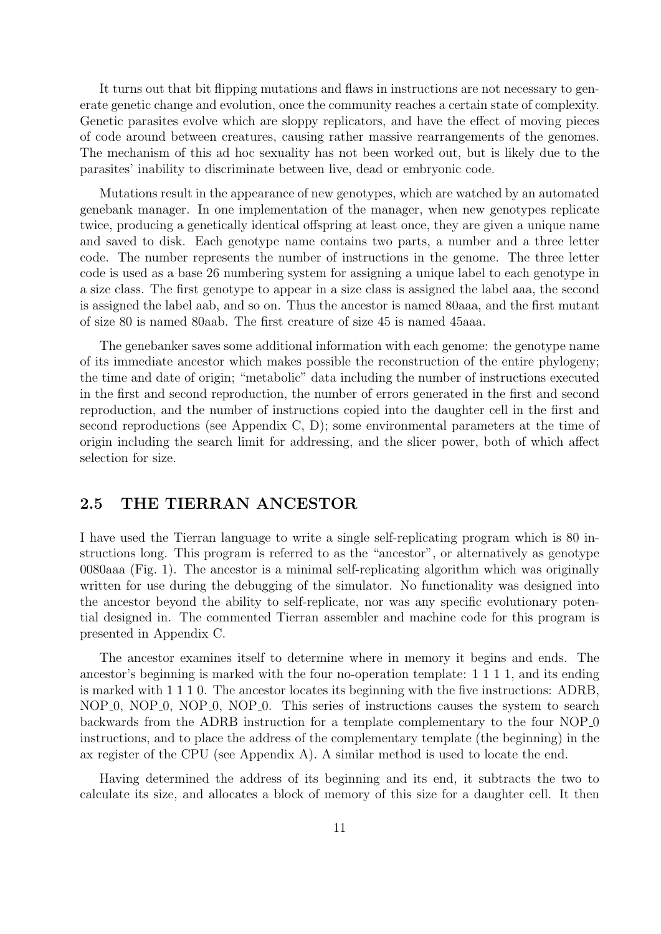It turns out that bit flipping mutations and flaws in instructions are not necessary to generate genetic change and evolution, once the community reaches a certain state of complexity. Genetic parasites evolve which are sloppy replicators, and have the effect of moving pieces of code around between creatures, causing rather massive rearrangements of the genomes. The mechanism of this ad hoc sexuality has not been worked out, but is likely due to the parasites' inability to discriminate between live, dead or embryonic code.

Mutations result in the appearance of new genotypes, which are watched by an automated genebank manager. In one implementation of the manager, when new genotypes replicate twice, producing a genetically identical offspring at least once, they are given a unique name and saved to disk. Each genotype name contains two parts, a number and a three letter code. The number represents the number of instructions in the genome. The three letter code is used as a base 26 numbering system for assigning a unique label to each genotype in a size class. The first genotype to appear in a size class is assigned the label aaa, the second is assigned the label aab, and so on. Thus the ancestor is named 80aaa, and the first mutant of size 80 is named 80aab. The first creature of size 45 is named 45aaa.

The genebanker saves some additional information with each genome: the genotype name of its immediate ancestor which makes possible the reconstruction of the entire phylogeny; the time and date of origin; "metabolic" data including the number of instructions executed in the first and second reproduction, the number of errors generated in the first and second reproduction, and the number of instructions copied into the daughter cell in the first and second reproductions (see Appendix C, D); some environmental parameters at the time of origin including the search limit for addressing, and the slicer power, both of which affect selection for size.

## 2.5 THE TIERRAN ANCESTOR

I have used the Tierran language to write a single self-replicating program which is 80 instructions long. This program is referred to as the "ancestor", or alternatively as genotype 0080aaa (Fig. 1). The ancestor is a minimal self-replicating algorithm which was originally written for use during the debugging of the simulator. No functionality was designed into the ancestor beyond the ability to self-replicate, nor was any specific evolutionary potential designed in. The commented Tierran assembler and machine code for this program is presented in Appendix C.

The ancestor examines itself to determine where in memory it begins and ends. The ancestor's beginning is marked with the four no-operation template: 1 1 1 1, and its ending is marked with 1 1 1 0. The ancestor locates its beginning with the five instructions: ADRB, NOP 0, NOP 0, NOP 0, NOP 0. This series of instructions causes the system to search backwards from the ADRB instruction for a template complementary to the four NOP 0 instructions, and to place the address of the complementary template (the beginning) in the ax register of the CPU (see Appendix A). A similar method is used to locate the end.

Having determined the address of its beginning and its end, it subtracts the two to calculate its size, and allocates a block of memory of this size for a daughter cell. It then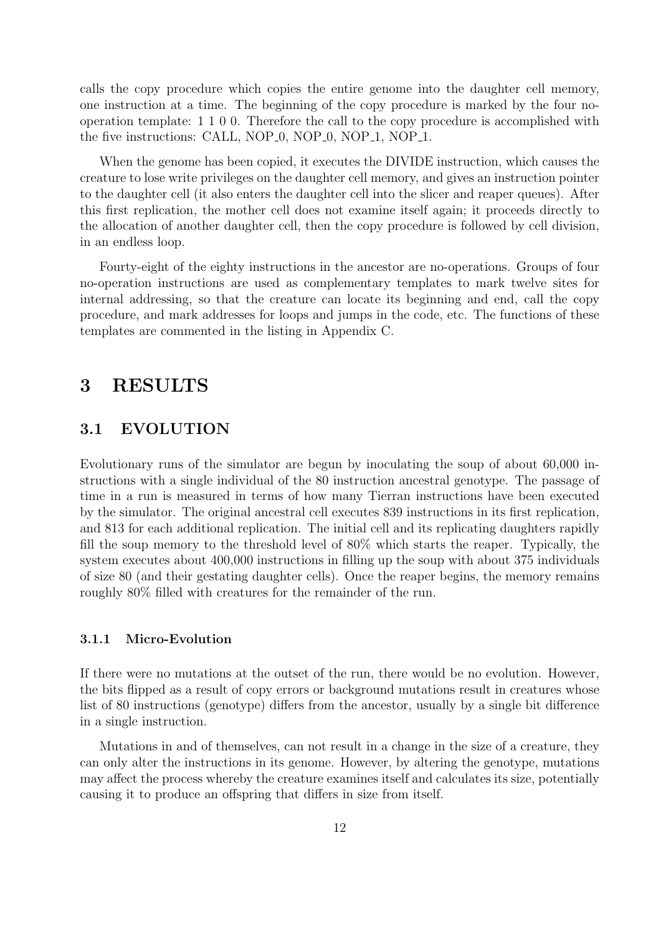calls the copy procedure which copies the entire genome into the daughter cell memory, one instruction at a time. The beginning of the copy procedure is marked by the four nooperation template: 1 1 0 0. Therefore the call to the copy procedure is accomplished with the five instructions: CALL, NOP<sub>-0</sub>, NOP<sub>-0</sub>, NOP<sub>-1</sub>, NOP<sub>-1</sub>.

When the genome has been copied, it executes the DIVIDE instruction, which causes the creature to lose write privileges on the daughter cell memory, and gives an instruction pointer to the daughter cell (it also enters the daughter cell into the slicer and reaper queues). After this first replication, the mother cell does not examine itself again; it proceeds directly to the allocation of another daughter cell, then the copy procedure is followed by cell division, in an endless loop.

Fourty-eight of the eighty instructions in the ancestor are no-operations. Groups of four no-operation instructions are used as complementary templates to mark twelve sites for internal addressing, so that the creature can locate its beginning and end, call the copy procedure, and mark addresses for loops and jumps in the code, etc. The functions of these templates are commented in the listing in Appendix C.

# 3 RESULTS

## 3.1 EVOLUTION

Evolutionary runs of the simulator are begun by inoculating the soup of about 60,000 instructions with a single individual of the 80 instruction ancestral genotype. The passage of time in a run is measured in terms of how many Tierran instructions have been executed by the simulator. The original ancestral cell executes 839 instructions in its first replication, and 813 for each additional replication. The initial cell and its replicating daughters rapidly fill the soup memory to the threshold level of 80% which starts the reaper. Typically, the system executes about 400,000 instructions in filling up the soup with about 375 individuals of size 80 (and their gestating daughter cells). Once the reaper begins, the memory remains roughly 80% filled with creatures for the remainder of the run.

#### 3.1.1 Micro-Evolution

If there were no mutations at the outset of the run, there would be no evolution. However, the bits flipped as a result of copy errors or background mutations result in creatures whose list of 80 instructions (genotype) differs from the ancestor, usually by a single bit difference in a single instruction.

Mutations in and of themselves, can not result in a change in the size of a creature, they can only alter the instructions in its genome. However, by altering the genotype, mutations may affect the process whereby the creature examines itself and calculates its size, potentially causing it to produce an offspring that differs in size from itself.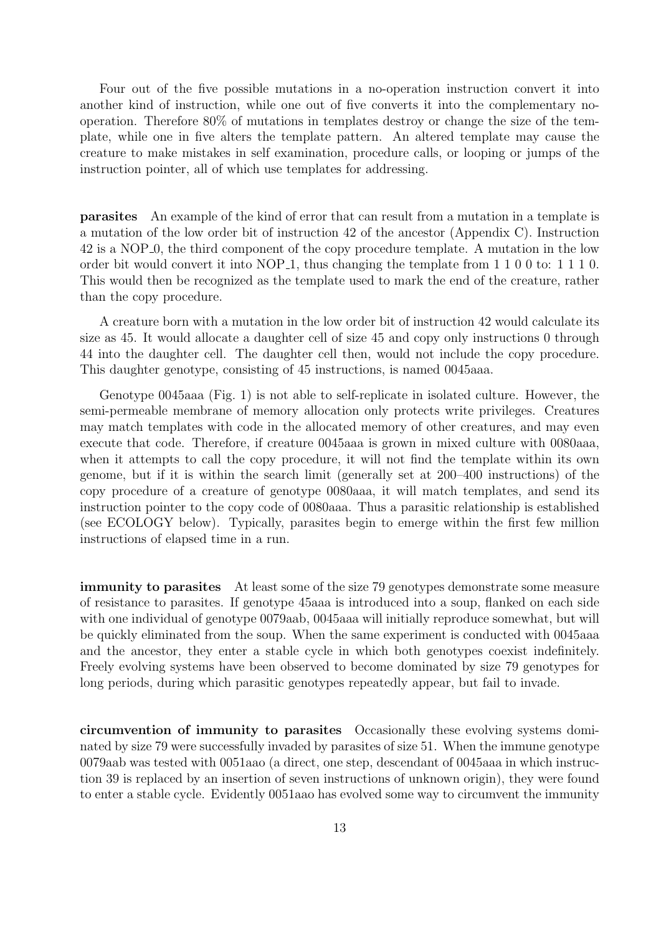Four out of the five possible mutations in a no-operation instruction convert it into another kind of instruction, while one out of five converts it into the complementary nooperation. Therefore 80% of mutations in templates destroy or change the size of the template, while one in five alters the template pattern. An altered template may cause the creature to make mistakes in self examination, procedure calls, or looping or jumps of the instruction pointer, all of which use templates for addressing.

parasites An example of the kind of error that can result from a mutation in a template is a mutation of the low order bit of instruction 42 of the ancestor (Appendix C). Instruction 42 is a NOP 0, the third component of the copy procedure template. A mutation in the low order bit would convert it into NOP<sub>-1</sub>, thus changing the template from 1 1 0 0 to: 1 1 1 0. This would then be recognized as the template used to mark the end of the creature, rather than the copy procedure.

A creature born with a mutation in the low order bit of instruction 42 would calculate its size as 45. It would allocate a daughter cell of size 45 and copy only instructions 0 through 44 into the daughter cell. The daughter cell then, would not include the copy procedure. This daughter genotype, consisting of 45 instructions, is named 0045aaa.

Genotype 0045aaa (Fig. 1) is not able to self-replicate in isolated culture. However, the semi-permeable membrane of memory allocation only protects write privileges. Creatures may match templates with code in the allocated memory of other creatures, and may even execute that code. Therefore, if creature 0045aaa is grown in mixed culture with 0080aaa, when it attempts to call the copy procedure, it will not find the template within its own genome, but if it is within the search limit (generally set at 200–400 instructions) of the copy procedure of a creature of genotype 0080aaa, it will match templates, and send its instruction pointer to the copy code of 0080aaa. Thus a parasitic relationship is established (see ECOLOGY below). Typically, parasites begin to emerge within the first few million instructions of elapsed time in a run.

immunity to parasites At least some of the size 79 genotypes demonstrate some measure of resistance to parasites. If genotype 45aaa is introduced into a soup, flanked on each side with one individual of genotype 0079aab, 0045aaa will initially reproduce somewhat, but will be quickly eliminated from the soup. When the same experiment is conducted with 0045aaa and the ancestor, they enter a stable cycle in which both genotypes coexist indefinitely. Freely evolving systems have been observed to become dominated by size 79 genotypes for long periods, during which parasitic genotypes repeatedly appear, but fail to invade.

circumvention of immunity to parasites Occasionally these evolving systems dominated by size 79 were successfully invaded by parasites of size 51. When the immune genotype 0079aab was tested with 0051aao (a direct, one step, descendant of 0045aaa in which instruction 39 is replaced by an insertion of seven instructions of unknown origin), they were found to enter a stable cycle. Evidently 0051aao has evolved some way to circumvent the immunity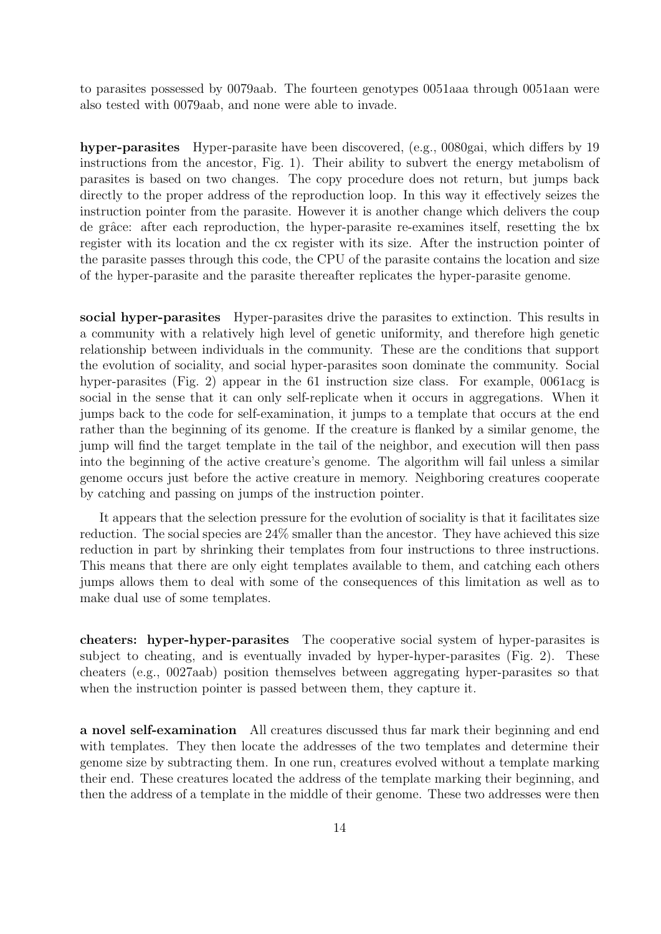to parasites possessed by 0079aab. The fourteen genotypes 0051aaa through 0051aan were also tested with 0079aab, and none were able to invade.

hyper-parasites Hyper-parasite have been discovered, (e.g., 0080gai, which differs by 19 instructions from the ancestor, Fig. 1). Their ability to subvert the energy metabolism of parasites is based on two changes. The copy procedure does not return, but jumps back directly to the proper address of the reproduction loop. In this way it effectively seizes the instruction pointer from the parasite. However it is another change which delivers the coup de grâce: after each reproduction, the hyper-parasite re-examines itself, resetting the bx register with its location and the cx register with its size. After the instruction pointer of the parasite passes through this code, the CPU of the parasite contains the location and size of the hyper-parasite and the parasite thereafter replicates the hyper-parasite genome.

social hyper-parasites Hyper-parasites drive the parasites to extinction. This results in a community with a relatively high level of genetic uniformity, and therefore high genetic relationship between individuals in the community. These are the conditions that support the evolution of sociality, and social hyper-parasites soon dominate the community. Social hyper-parasites (Fig. 2) appear in the 61 instruction size class. For example, 0061acg is social in the sense that it can only self-replicate when it occurs in aggregations. When it jumps back to the code for self-examination, it jumps to a template that occurs at the end rather than the beginning of its genome. If the creature is flanked by a similar genome, the jump will find the target template in the tail of the neighbor, and execution will then pass into the beginning of the active creature's genome. The algorithm will fail unless a similar genome occurs just before the active creature in memory. Neighboring creatures cooperate by catching and passing on jumps of the instruction pointer.

It appears that the selection pressure for the evolution of sociality is that it facilitates size reduction. The social species are 24% smaller than the ancestor. They have achieved this size reduction in part by shrinking their templates from four instructions to three instructions. This means that there are only eight templates available to them, and catching each others jumps allows them to deal with some of the consequences of this limitation as well as to make dual use of some templates.

cheaters: hyper-hyper-parasites The cooperative social system of hyper-parasites is subject to cheating, and is eventually invaded by hyper-hyper-parasites (Fig. 2). These cheaters (e.g., 0027aab) position themselves between aggregating hyper-parasites so that when the instruction pointer is passed between them, they capture it.

a novel self-examination All creatures discussed thus far mark their beginning and end with templates. They then locate the addresses of the two templates and determine their genome size by subtracting them. In one run, creatures evolved without a template marking their end. These creatures located the address of the template marking their beginning, and then the address of a template in the middle of their genome. These two addresses were then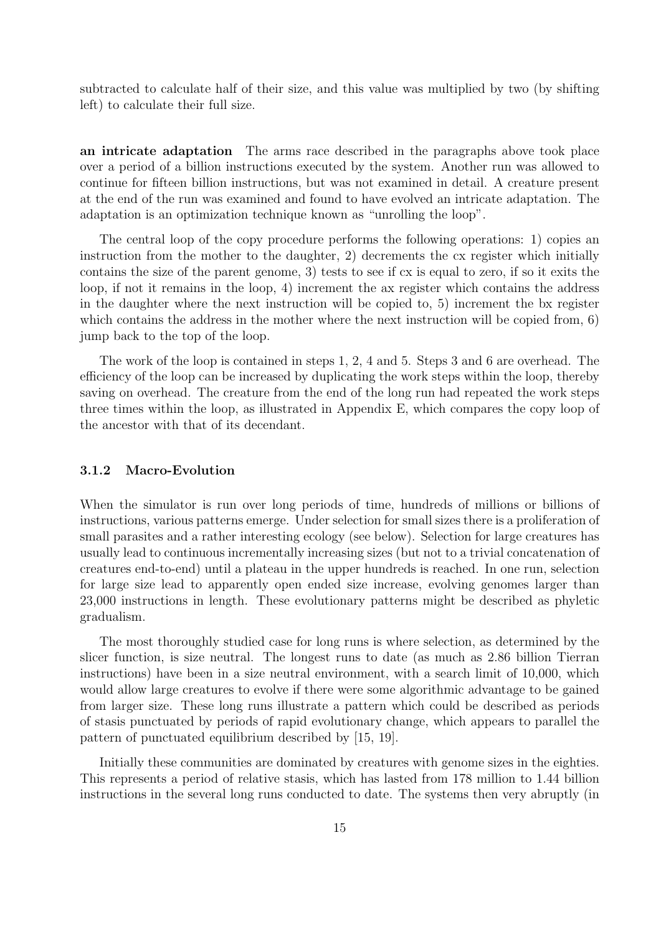subtracted to calculate half of their size, and this value was multiplied by two (by shifting left) to calculate their full size.

an intricate adaptation The arms race described in the paragraphs above took place over a period of a billion instructions executed by the system. Another run was allowed to continue for fifteen billion instructions, but was not examined in detail. A creature present at the end of the run was examined and found to have evolved an intricate adaptation. The adaptation is an optimization technique known as "unrolling the loop".

The central loop of the copy procedure performs the following operations: 1) copies an instruction from the mother to the daughter, 2) decrements the cx register which initially contains the size of the parent genome, 3) tests to see if cx is equal to zero, if so it exits the loop, if not it remains in the loop, 4) increment the ax register which contains the address in the daughter where the next instruction will be copied to, 5) increment the bx register which contains the address in the mother where the next instruction will be copied from, 6) jump back to the top of the loop.

The work of the loop is contained in steps 1, 2, 4 and 5. Steps 3 and 6 are overhead. The efficiency of the loop can be increased by duplicating the work steps within the loop, thereby saving on overhead. The creature from the end of the long run had repeated the work steps three times within the loop, as illustrated in Appendix E, which compares the copy loop of the ancestor with that of its decendant.

#### 3.1.2 Macro-Evolution

When the simulator is run over long periods of time, hundreds of millions or billions of instructions, various patterns emerge. Under selection for small sizes there is a proliferation of small parasites and a rather interesting ecology (see below). Selection for large creatures has usually lead to continuous incrementally increasing sizes (but not to a trivial concatenation of creatures end-to-end) until a plateau in the upper hundreds is reached. In one run, selection for large size lead to apparently open ended size increase, evolving genomes larger than 23,000 instructions in length. These evolutionary patterns might be described as phyletic gradualism.

The most thoroughly studied case for long runs is where selection, as determined by the slicer function, is size neutral. The longest runs to date (as much as 2.86 billion Tierran instructions) have been in a size neutral environment, with a search limit of 10,000, which would allow large creatures to evolve if there were some algorithmic advantage to be gained from larger size. These long runs illustrate a pattern which could be described as periods of stasis punctuated by periods of rapid evolutionary change, which appears to parallel the pattern of punctuated equilibrium described by [15, 19].

Initially these communities are dominated by creatures with genome sizes in the eighties. This represents a period of relative stasis, which has lasted from 178 million to 1.44 billion instructions in the several long runs conducted to date. The systems then very abruptly (in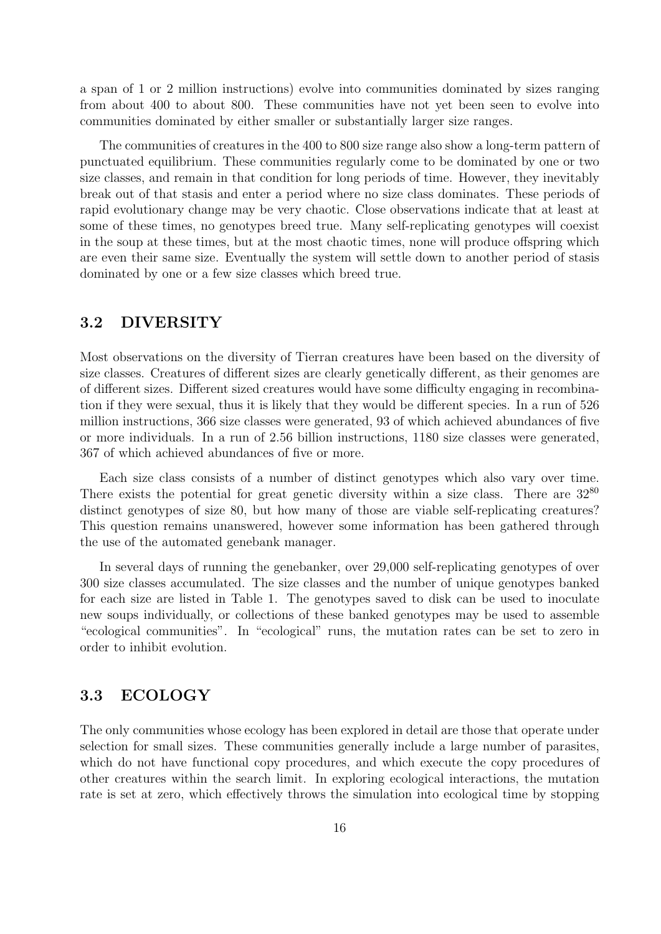a span of 1 or 2 million instructions) evolve into communities dominated by sizes ranging from about 400 to about 800. These communities have not yet been seen to evolve into communities dominated by either smaller or substantially larger size ranges.

The communities of creatures in the 400 to 800 size range also show a long-term pattern of punctuated equilibrium. These communities regularly come to be dominated by one or two size classes, and remain in that condition for long periods of time. However, they inevitably break out of that stasis and enter a period where no size class dominates. These periods of rapid evolutionary change may be very chaotic. Close observations indicate that at least at some of these times, no genotypes breed true. Many self-replicating genotypes will coexist in the soup at these times, but at the most chaotic times, none will produce offspring which are even their same size. Eventually the system will settle down to another period of stasis dominated by one or a few size classes which breed true.

### 3.2 DIVERSITY

Most observations on the diversity of Tierran creatures have been based on the diversity of size classes. Creatures of different sizes are clearly genetically different, as their genomes are of different sizes. Different sized creatures would have some difficulty engaging in recombination if they were sexual, thus it is likely that they would be different species. In a run of 526 million instructions, 366 size classes were generated, 93 of which achieved abundances of five or more individuals. In a run of 2.56 billion instructions, 1180 size classes were generated, 367 of which achieved abundances of five or more.

Each size class consists of a number of distinct genotypes which also vary over time. There exists the potential for great genetic diversity within a size class. There are  $32^{80}$ distinct genotypes of size 80, but how many of those are viable self-replicating creatures? This question remains unanswered, however some information has been gathered through the use of the automated genebank manager.

In several days of running the genebanker, over 29,000 self-replicating genotypes of over 300 size classes accumulated. The size classes and the number of unique genotypes banked for each size are listed in Table 1. The genotypes saved to disk can be used to inoculate new soups individually, or collections of these banked genotypes may be used to assemble "ecological communities". In "ecological" runs, the mutation rates can be set to zero in order to inhibit evolution.

### 3.3 ECOLOGY

The only communities whose ecology has been explored in detail are those that operate under selection for small sizes. These communities generally include a large number of parasites, which do not have functional copy procedures, and which execute the copy procedures of other creatures within the search limit. In exploring ecological interactions, the mutation rate is set at zero, which effectively throws the simulation into ecological time by stopping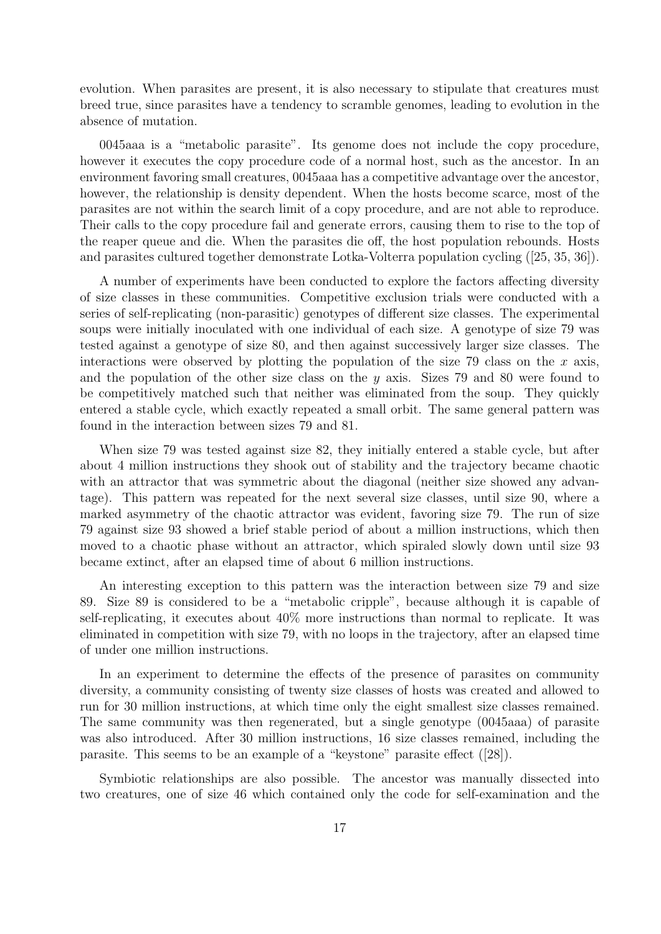evolution. When parasites are present, it is also necessary to stipulate that creatures must breed true, since parasites have a tendency to scramble genomes, leading to evolution in the absence of mutation.

0045aaa is a "metabolic parasite". Its genome does not include the copy procedure, however it executes the copy procedure code of a normal host, such as the ancestor. In an environment favoring small creatures, 0045aaa has a competitive advantage over the ancestor, however, the relationship is density dependent. When the hosts become scarce, most of the parasites are not within the search limit of a copy procedure, and are not able to reproduce. Their calls to the copy procedure fail and generate errors, causing them to rise to the top of the reaper queue and die. When the parasites die off, the host population rebounds. Hosts and parasites cultured together demonstrate Lotka-Volterra population cycling ([25, 35, 36]).

A number of experiments have been conducted to explore the factors affecting diversity of size classes in these communities. Competitive exclusion trials were conducted with a series of self-replicating (non-parasitic) genotypes of different size classes. The experimental soups were initially inoculated with one individual of each size. A genotype of size 79 was tested against a genotype of size 80, and then against successively larger size classes. The interactions were observed by plotting the population of the size 79 class on the  $x$  axis, and the population of the other size class on the  $y$  axis. Sizes 79 and 80 were found to be competitively matched such that neither was eliminated from the soup. They quickly entered a stable cycle, which exactly repeated a small orbit. The same general pattern was found in the interaction between sizes 79 and 81.

When size 79 was tested against size 82, they initially entered a stable cycle, but after about 4 million instructions they shook out of stability and the trajectory became chaotic with an attractor that was symmetric about the diagonal (neither size showed any advantage). This pattern was repeated for the next several size classes, until size 90, where a marked asymmetry of the chaotic attractor was evident, favoring size 79. The run of size 79 against size 93 showed a brief stable period of about a million instructions, which then moved to a chaotic phase without an attractor, which spiraled slowly down until size 93 became extinct, after an elapsed time of about 6 million instructions.

An interesting exception to this pattern was the interaction between size 79 and size 89. Size 89 is considered to be a "metabolic cripple", because although it is capable of self-replicating, it executes about 40% more instructions than normal to replicate. It was eliminated in competition with size 79, with no loops in the trajectory, after an elapsed time of under one million instructions.

In an experiment to determine the effects of the presence of parasites on community diversity, a community consisting of twenty size classes of hosts was created and allowed to run for 30 million instructions, at which time only the eight smallest size classes remained. The same community was then regenerated, but a single genotype (0045aaa) of parasite was also introduced. After 30 million instructions, 16 size classes remained, including the parasite. This seems to be an example of a "keystone" parasite effect ([28]).

Symbiotic relationships are also possible. The ancestor was manually dissected into two creatures, one of size 46 which contained only the code for self-examination and the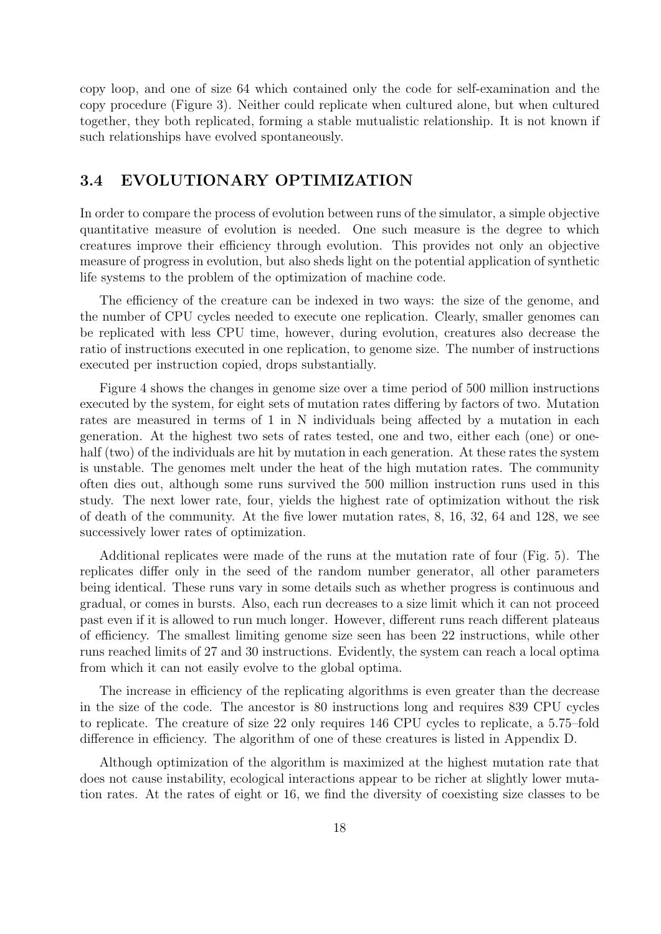copy loop, and one of size 64 which contained only the code for self-examination and the copy procedure (Figure 3). Neither could replicate when cultured alone, but when cultured together, they both replicated, forming a stable mutualistic relationship. It is not known if such relationships have evolved spontaneously.

## 3.4 EVOLUTIONARY OPTIMIZATION

In order to compare the process of evolution between runs of the simulator, a simple objective quantitative measure of evolution is needed. One such measure is the degree to which creatures improve their efficiency through evolution. This provides not only an objective measure of progress in evolution, but also sheds light on the potential application of synthetic life systems to the problem of the optimization of machine code.

The efficiency of the creature can be indexed in two ways: the size of the genome, and the number of CPU cycles needed to execute one replication. Clearly, smaller genomes can be replicated with less CPU time, however, during evolution, creatures also decrease the ratio of instructions executed in one replication, to genome size. The number of instructions executed per instruction copied, drops substantially.

Figure 4 shows the changes in genome size over a time period of 500 million instructions executed by the system, for eight sets of mutation rates differing by factors of two. Mutation rates are measured in terms of 1 in N individuals being affected by a mutation in each generation. At the highest two sets of rates tested, one and two, either each (one) or onehalf (two) of the individuals are hit by mutation in each generation. At these rates the system is unstable. The genomes melt under the heat of the high mutation rates. The community often dies out, although some runs survived the 500 million instruction runs used in this study. The next lower rate, four, yields the highest rate of optimization without the risk of death of the community. At the five lower mutation rates, 8, 16, 32, 64 and 128, we see successively lower rates of optimization.

Additional replicates were made of the runs at the mutation rate of four (Fig. 5). The replicates differ only in the seed of the random number generator, all other parameters being identical. These runs vary in some details such as whether progress is continuous and gradual, or comes in bursts. Also, each run decreases to a size limit which it can not proceed past even if it is allowed to run much longer. However, different runs reach different plateaus of efficiency. The smallest limiting genome size seen has been 22 instructions, while other runs reached limits of 27 and 30 instructions. Evidently, the system can reach a local optima from which it can not easily evolve to the global optima.

The increase in efficiency of the replicating algorithms is even greater than the decrease in the size of the code. The ancestor is 80 instructions long and requires 839 CPU cycles to replicate. The creature of size 22 only requires 146 CPU cycles to replicate, a 5.75–fold difference in efficiency. The algorithm of one of these creatures is listed in Appendix D.

Although optimization of the algorithm is maximized at the highest mutation rate that does not cause instability, ecological interactions appear to be richer at slightly lower mutation rates. At the rates of eight or 16, we find the diversity of coexisting size classes to be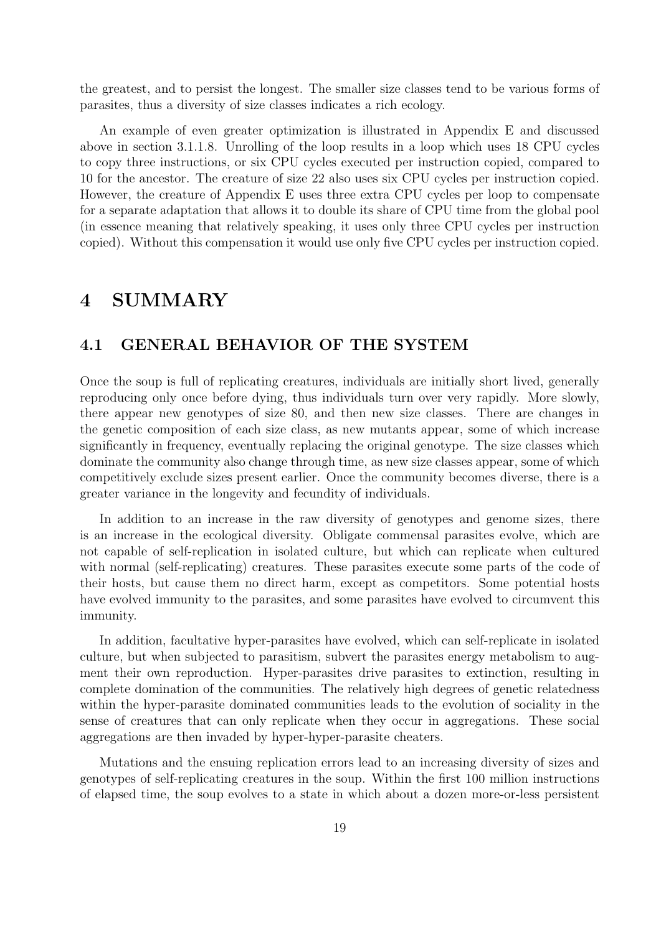the greatest, and to persist the longest. The smaller size classes tend to be various forms of parasites, thus a diversity of size classes indicates a rich ecology.

An example of even greater optimization is illustrated in Appendix E and discussed above in section 3.1.1.8. Unrolling of the loop results in a loop which uses 18 CPU cycles to copy three instructions, or six CPU cycles executed per instruction copied, compared to 10 for the ancestor. The creature of size 22 also uses six CPU cycles per instruction copied. However, the creature of Appendix E uses three extra CPU cycles per loop to compensate for a separate adaptation that allows it to double its share of CPU time from the global pool (in essence meaning that relatively speaking, it uses only three CPU cycles per instruction copied). Without this compensation it would use only five CPU cycles per instruction copied.

## 4 SUMMARY

### 4.1 GENERAL BEHAVIOR OF THE SYSTEM

Once the soup is full of replicating creatures, individuals are initially short lived, generally reproducing only once before dying, thus individuals turn over very rapidly. More slowly, there appear new genotypes of size 80, and then new size classes. There are changes in the genetic composition of each size class, as new mutants appear, some of which increase significantly in frequency, eventually replacing the original genotype. The size classes which dominate the community also change through time, as new size classes appear, some of which competitively exclude sizes present earlier. Once the community becomes diverse, there is a greater variance in the longevity and fecundity of individuals.

In addition to an increase in the raw diversity of genotypes and genome sizes, there is an increase in the ecological diversity. Obligate commensal parasites evolve, which are not capable of self-replication in isolated culture, but which can replicate when cultured with normal (self-replicating) creatures. These parasites execute some parts of the code of their hosts, but cause them no direct harm, except as competitors. Some potential hosts have evolved immunity to the parasites, and some parasites have evolved to circumvent this immunity.

In addition, facultative hyper-parasites have evolved, which can self-replicate in isolated culture, but when subjected to parasitism, subvert the parasites energy metabolism to augment their own reproduction. Hyper-parasites drive parasites to extinction, resulting in complete domination of the communities. The relatively high degrees of genetic relatedness within the hyper-parasite dominated communities leads to the evolution of sociality in the sense of creatures that can only replicate when they occur in aggregations. These social aggregations are then invaded by hyper-hyper-parasite cheaters.

Mutations and the ensuing replication errors lead to an increasing diversity of sizes and genotypes of self-replicating creatures in the soup. Within the first 100 million instructions of elapsed time, the soup evolves to a state in which about a dozen more-or-less persistent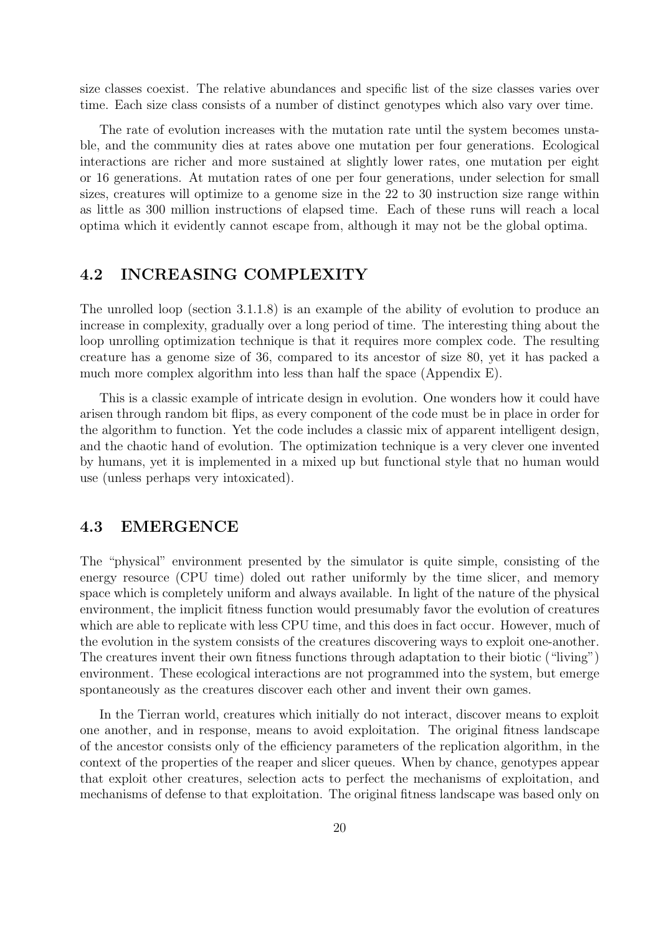size classes coexist. The relative abundances and specific list of the size classes varies over time. Each size class consists of a number of distinct genotypes which also vary over time.

The rate of evolution increases with the mutation rate until the system becomes unstable, and the community dies at rates above one mutation per four generations. Ecological interactions are richer and more sustained at slightly lower rates, one mutation per eight or 16 generations. At mutation rates of one per four generations, under selection for small sizes, creatures will optimize to a genome size in the 22 to 30 instruction size range within as little as 300 million instructions of elapsed time. Each of these runs will reach a local optima which it evidently cannot escape from, although it may not be the global optima.

### 4.2 INCREASING COMPLEXITY

The unrolled loop (section 3.1.1.8) is an example of the ability of evolution to produce an increase in complexity, gradually over a long period of time. The interesting thing about the loop unrolling optimization technique is that it requires more complex code. The resulting creature has a genome size of 36, compared to its ancestor of size 80, yet it has packed a much more complex algorithm into less than half the space (Appendix E).

This is a classic example of intricate design in evolution. One wonders how it could have arisen through random bit flips, as every component of the code must be in place in order for the algorithm to function. Yet the code includes a classic mix of apparent intelligent design, and the chaotic hand of evolution. The optimization technique is a very clever one invented by humans, yet it is implemented in a mixed up but functional style that no human would use (unless perhaps very intoxicated).

#### 4.3 EMERGENCE

The "physical" environment presented by the simulator is quite simple, consisting of the energy resource (CPU time) doled out rather uniformly by the time slicer, and memory space which is completely uniform and always available. In light of the nature of the physical environment, the implicit fitness function would presumably favor the evolution of creatures which are able to replicate with less CPU time, and this does in fact occur. However, much of the evolution in the system consists of the creatures discovering ways to exploit one-another. The creatures invent their own fitness functions through adaptation to their biotic ("living") environment. These ecological interactions are not programmed into the system, but emerge spontaneously as the creatures discover each other and invent their own games.

In the Tierran world, creatures which initially do not interact, discover means to exploit one another, and in response, means to avoid exploitation. The original fitness landscape of the ancestor consists only of the efficiency parameters of the replication algorithm, in the context of the properties of the reaper and slicer queues. When by chance, genotypes appear that exploit other creatures, selection acts to perfect the mechanisms of exploitation, and mechanisms of defense to that exploitation. The original fitness landscape was based only on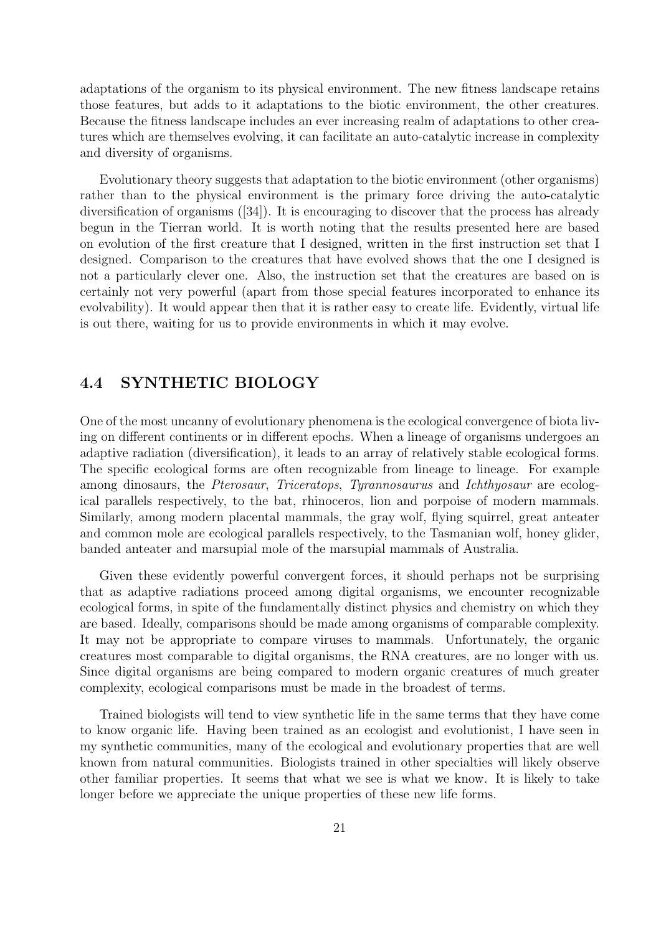adaptations of the organism to its physical environment. The new fitness landscape retains those features, but adds to it adaptations to the biotic environment, the other creatures. Because the fitness landscape includes an ever increasing realm of adaptations to other creatures which are themselves evolving, it can facilitate an auto-catalytic increase in complexity and diversity of organisms.

Evolutionary theory suggests that adaptation to the biotic environment (other organisms) rather than to the physical environment is the primary force driving the auto-catalytic diversification of organisms ([34]). It is encouraging to discover that the process has already begun in the Tierran world. It is worth noting that the results presented here are based on evolution of the first creature that I designed, written in the first instruction set that I designed. Comparison to the creatures that have evolved shows that the one I designed is not a particularly clever one. Also, the instruction set that the creatures are based on is certainly not very powerful (apart from those special features incorporated to enhance its evolvability). It would appear then that it is rather easy to create life. Evidently, virtual life is out there, waiting for us to provide environments in which it may evolve.

## 4.4 SYNTHETIC BIOLOGY

One of the most uncanny of evolutionary phenomena is the ecological convergence of biota living on different continents or in different epochs. When a lineage of organisms undergoes an adaptive radiation (diversification), it leads to an array of relatively stable ecological forms. The specific ecological forms are often recognizable from lineage to lineage. For example among dinosaurs, the Pterosaur, Triceratops, Tyrannosaurus and Ichthyosaur are ecological parallels respectively, to the bat, rhinoceros, lion and porpoise of modern mammals. Similarly, among modern placental mammals, the gray wolf, flying squirrel, great anteater and common mole are ecological parallels respectively, to the Tasmanian wolf, honey glider, banded anteater and marsupial mole of the marsupial mammals of Australia.

Given these evidently powerful convergent forces, it should perhaps not be surprising that as adaptive radiations proceed among digital organisms, we encounter recognizable ecological forms, in spite of the fundamentally distinct physics and chemistry on which they are based. Ideally, comparisons should be made among organisms of comparable complexity. It may not be appropriate to compare viruses to mammals. Unfortunately, the organic creatures most comparable to digital organisms, the RNA creatures, are no longer with us. Since digital organisms are being compared to modern organic creatures of much greater complexity, ecological comparisons must be made in the broadest of terms.

Trained biologists will tend to view synthetic life in the same terms that they have come to know organic life. Having been trained as an ecologist and evolutionist, I have seen in my synthetic communities, many of the ecological and evolutionary properties that are well known from natural communities. Biologists trained in other specialties will likely observe other familiar properties. It seems that what we see is what we know. It is likely to take longer before we appreciate the unique properties of these new life forms.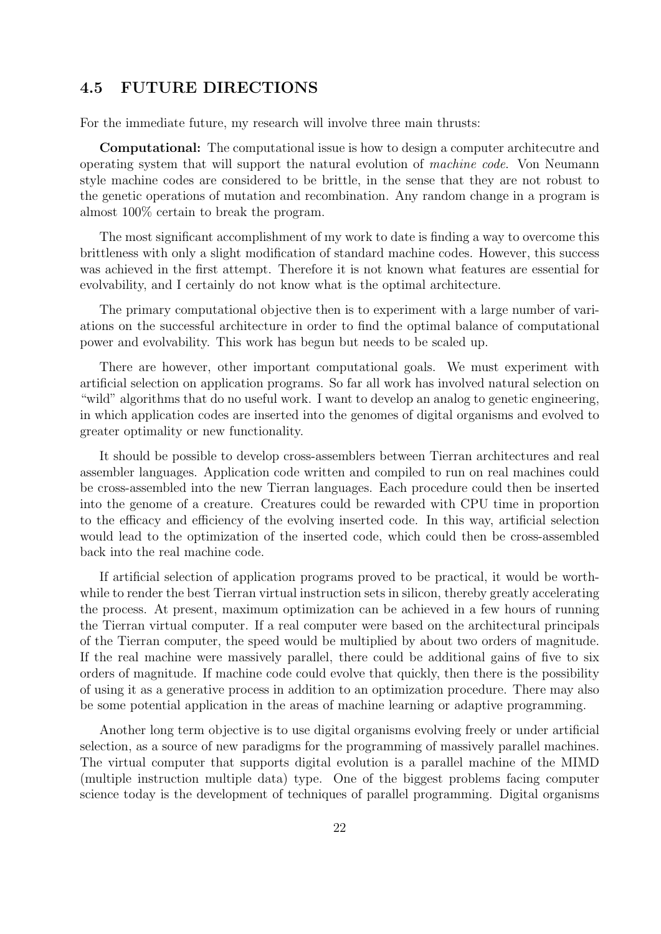### 4.5 FUTURE DIRECTIONS

For the immediate future, my research will involve three main thrusts:

Computational: The computational issue is how to design a computer architecutre and operating system that will support the natural evolution of machine code. Von Neumann style machine codes are considered to be brittle, in the sense that they are not robust to the genetic operations of mutation and recombination. Any random change in a program is almost 100% certain to break the program.

The most significant accomplishment of my work to date is finding a way to overcome this brittleness with only a slight modification of standard machine codes. However, this success was achieved in the first attempt. Therefore it is not known what features are essential for evolvability, and I certainly do not know what is the optimal architecture.

The primary computational objective then is to experiment with a large number of variations on the successful architecture in order to find the optimal balance of computational power and evolvability. This work has begun but needs to be scaled up.

There are however, other important computational goals. We must experiment with artificial selection on application programs. So far all work has involved natural selection on "wild" algorithms that do no useful work. I want to develop an analog to genetic engineering, in which application codes are inserted into the genomes of digital organisms and evolved to greater optimality or new functionality.

It should be possible to develop cross-assemblers between Tierran architectures and real assembler languages. Application code written and compiled to run on real machines could be cross-assembled into the new Tierran languages. Each procedure could then be inserted into the genome of a creature. Creatures could be rewarded with CPU time in proportion to the efficacy and efficiency of the evolving inserted code. In this way, artificial selection would lead to the optimization of the inserted code, which could then be cross-assembled back into the real machine code.

If artificial selection of application programs proved to be practical, it would be worthwhile to render the best Tierran virtual instruction sets in silicon, thereby greatly accelerating the process. At present, maximum optimization can be achieved in a few hours of running the Tierran virtual computer. If a real computer were based on the architectural principals of the Tierran computer, the speed would be multiplied by about two orders of magnitude. If the real machine were massively parallel, there could be additional gains of five to six orders of magnitude. If machine code could evolve that quickly, then there is the possibility of using it as a generative process in addition to an optimization procedure. There may also be some potential application in the areas of machine learning or adaptive programming.

Another long term objective is to use digital organisms evolving freely or under artificial selection, as a source of new paradigms for the programming of massively parallel machines. The virtual computer that supports digital evolution is a parallel machine of the MIMD (multiple instruction multiple data) type. One of the biggest problems facing computer science today is the development of techniques of parallel programming. Digital organisms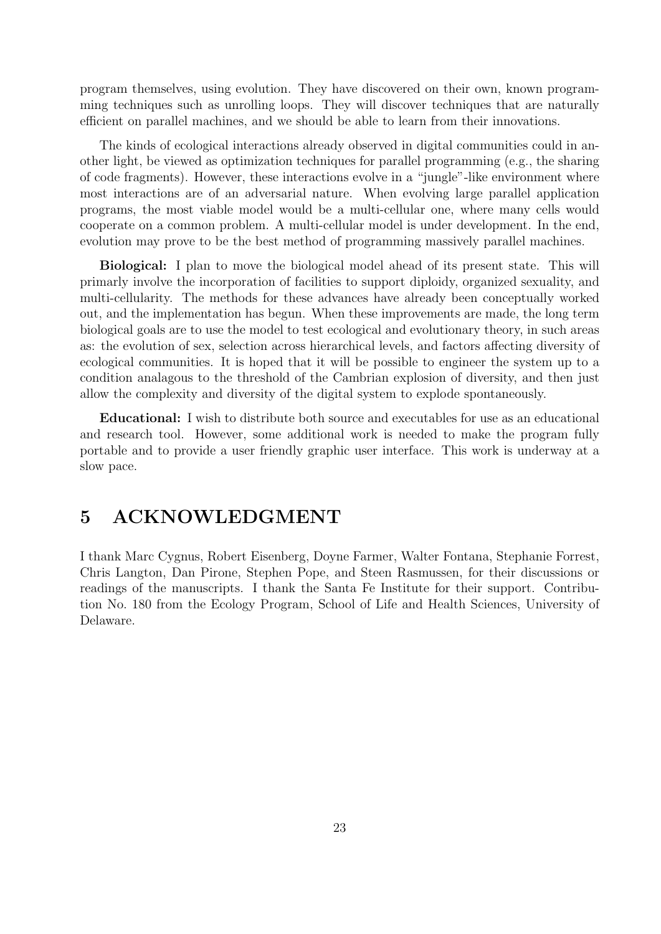program themselves, using evolution. They have discovered on their own, known programming techniques such as unrolling loops. They will discover techniques that are naturally efficient on parallel machines, and we should be able to learn from their innovations.

The kinds of ecological interactions already observed in digital communities could in another light, be viewed as optimization techniques for parallel programming (e.g., the sharing of code fragments). However, these interactions evolve in a "jungle"-like environment where most interactions are of an adversarial nature. When evolving large parallel application programs, the most viable model would be a multi-cellular one, where many cells would cooperate on a common problem. A multi-cellular model is under development. In the end, evolution may prove to be the best method of programming massively parallel machines.

Biological: I plan to move the biological model ahead of its present state. This will primarly involve the incorporation of facilities to support diploidy, organized sexuality, and multi-cellularity. The methods for these advances have already been conceptually worked out, and the implementation has begun. When these improvements are made, the long term biological goals are to use the model to test ecological and evolutionary theory, in such areas as: the evolution of sex, selection across hierarchical levels, and factors affecting diversity of ecological communities. It is hoped that it will be possible to engineer the system up to a condition analagous to the threshold of the Cambrian explosion of diversity, and then just allow the complexity and diversity of the digital system to explode spontaneously.

Educational: I wish to distribute both source and executables for use as an educational and research tool. However, some additional work is needed to make the program fully portable and to provide a user friendly graphic user interface. This work is underway at a slow pace.

## 5 ACKNOWLEDGMENT

I thank Marc Cygnus, Robert Eisenberg, Doyne Farmer, Walter Fontana, Stephanie Forrest, Chris Langton, Dan Pirone, Stephen Pope, and Steen Rasmussen, for their discussions or readings of the manuscripts. I thank the Santa Fe Institute for their support. Contribution No. 180 from the Ecology Program, School of Life and Health Sciences, University of Delaware.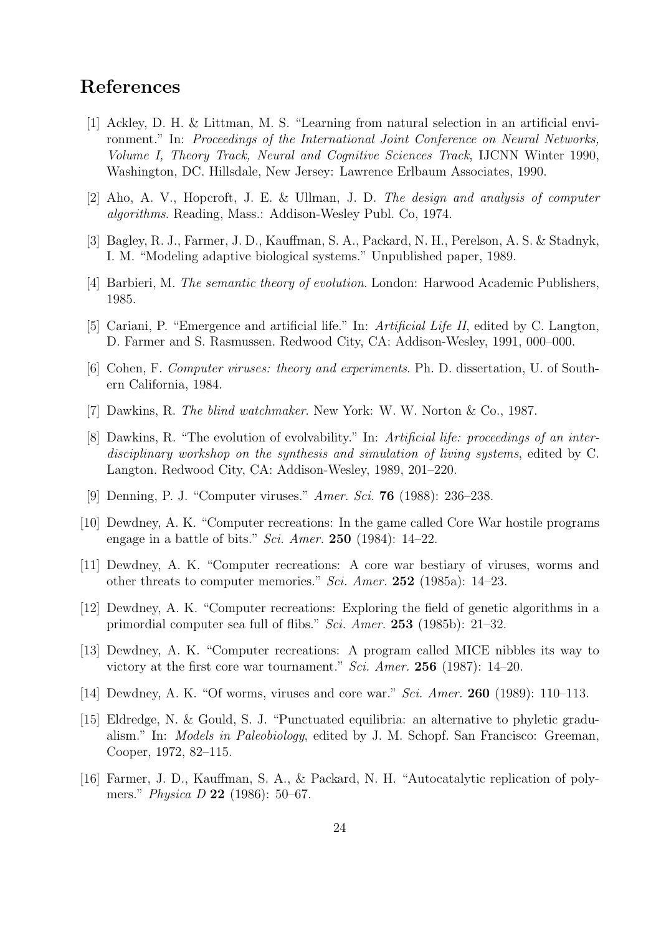# References

- [1] Ackley, D. H. & Littman, M. S. "Learning from natural selection in an artificial environment." In: Proceedings of the International Joint Conference on Neural Networks, Volume I, Theory Track, Neural and Cognitive Sciences Track, IJCNN Winter 1990, Washington, DC. Hillsdale, New Jersey: Lawrence Erlbaum Associates, 1990.
- [2] Aho, A. V., Hopcroft, J. E. & Ullman, J. D. The design and analysis of computer algorithms. Reading, Mass.: Addison-Wesley Publ. Co, 1974.
- [3] Bagley, R. J., Farmer, J. D., Kauffman, S. A., Packard, N. H., Perelson, A. S. & Stadnyk, I. M. "Modeling adaptive biological systems." Unpublished paper, 1989.
- [4] Barbieri, M. The semantic theory of evolution. London: Harwood Academic Publishers, 1985.
- [5] Cariani, P. "Emergence and artificial life." In: Artificial Life II, edited by C. Langton, D. Farmer and S. Rasmussen. Redwood City, CA: Addison-Wesley, 1991, 000–000.
- [6] Cohen, F. Computer viruses: theory and experiments. Ph. D. dissertation, U. of Southern California, 1984.
- [7] Dawkins, R. The blind watchmaker. New York: W. W. Norton & Co., 1987.
- [8] Dawkins, R. "The evolution of evolvability." In: Artificial life: proceedings of an interdisciplinary workshop on the synthesis and simulation of living systems, edited by C. Langton. Redwood City, CA: Addison-Wesley, 1989, 201–220.
- [9] Denning, P. J. "Computer viruses." Amer. Sci. 76 (1988): 236–238.
- [10] Dewdney, A. K. "Computer recreations: In the game called Core War hostile programs engage in a battle of bits." Sci. Amer. 250 (1984): 14-22.
- [11] Dewdney, A. K. "Computer recreations: A core war bestiary of viruses, worms and other threats to computer memories." Sci. Amer. 252 (1985a): 14–23.
- [12] Dewdney, A. K. "Computer recreations: Exploring the field of genetic algorithms in a primordial computer sea full of flibs." Sci. Amer. 253 (1985b): 21–32.
- [13] Dewdney, A. K. "Computer recreations: A program called MICE nibbles its way to victory at the first core war tournament." Sci. Amer. 256 (1987): 14–20.
- [14] Dewdney, A. K. "Of worms, viruses and core war." Sci. Amer. 260 (1989): 110–113.
- [15] Eldredge, N. & Gould, S. J. "Punctuated equilibria: an alternative to phyletic gradualism." In: Models in Paleobiology, edited by J. M. Schopf. San Francisco: Greeman, Cooper, 1972, 82–115.
- [16] Farmer, J. D., Kauffman, S. A., & Packard, N. H. "Autocatalytic replication of polymers." Physica D 22 (1986): 50–67.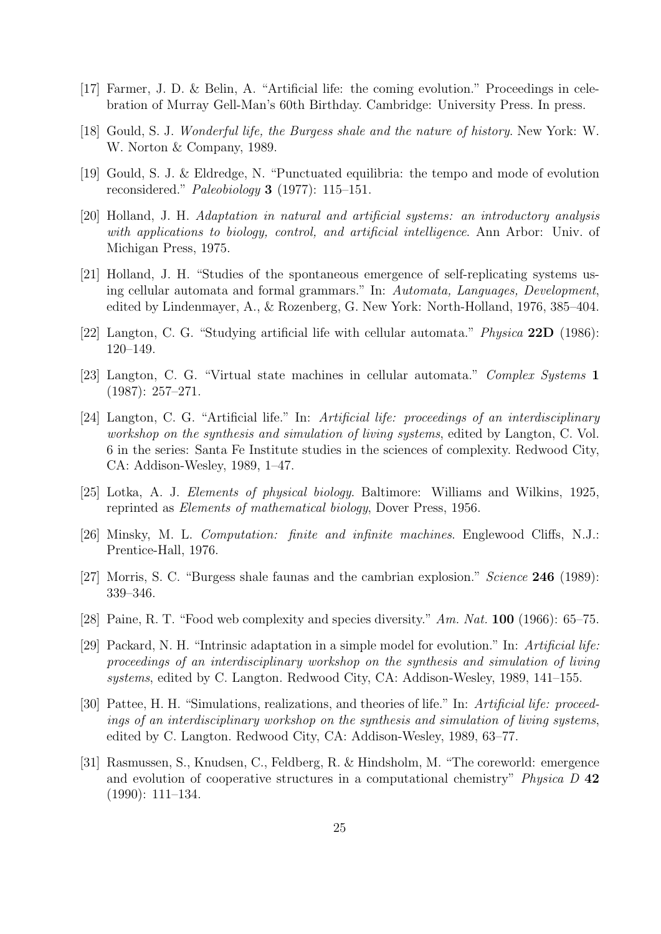- [17] Farmer, J. D. & Belin, A. "Artificial life: the coming evolution." Proceedings in celebration of Murray Gell-Man's 60th Birthday. Cambridge: University Press. In press.
- [18] Gould, S. J. Wonderful life, the Burgess shale and the nature of history. New York: W. W. Norton & Company, 1989.
- [19] Gould, S. J. & Eldredge, N. "Punctuated equilibria: the tempo and mode of evolution reconsidered." Paleobiology 3 (1977): 115–151.
- [20] Holland, J. H. Adaptation in natural and artificial systems: an introductory analysis with applications to biology, control, and artificial intelligence. Ann Arbor: Univ. of Michigan Press, 1975.
- [21] Holland, J. H. "Studies of the spontaneous emergence of self-replicating systems using cellular automata and formal grammars." In: Automata, Languages, Development, edited by Lindenmayer, A., & Rozenberg, G. New York: North-Holland, 1976, 385–404.
- [22] Langton, C. G. "Studying artificial life with cellular automata." *Physica* 22D (1986): 120–149.
- [23] Langton, C. G. "Virtual state machines in cellular automata." Complex Systems 1 (1987): 257–271.
- [24] Langton, C. G. "Artificial life." In: Artificial life: proceedings of an interdisciplinary workshop on the synthesis and simulation of living systems, edited by Langton, C. Vol. 6 in the series: Santa Fe Institute studies in the sciences of complexity. Redwood City, CA: Addison-Wesley, 1989, 1–47.
- [25] Lotka, A. J. Elements of physical biology. Baltimore: Williams and Wilkins, 1925, reprinted as Elements of mathematical biology, Dover Press, 1956.
- [26] Minsky, M. L. Computation: finite and infinite machines. Englewood Cliffs, N.J.: Prentice-Hall, 1976.
- [27] Morris, S. C. "Burgess shale faunas and the cambrian explosion." Science 246 (1989): 339–346.
- [28] Paine, R. T. "Food web complexity and species diversity." Am. Nat. 100 (1966): 65–75.
- [29] Packard, N. H. "Intrinsic adaptation in a simple model for evolution." In: Artificial life: proceedings of an interdisciplinary workshop on the synthesis and simulation of living systems, edited by C. Langton. Redwood City, CA: Addison-Wesley, 1989, 141–155.
- [30] Pattee, H. H. "Simulations, realizations, and theories of life." In: Artificial life: proceedings of an interdisciplinary workshop on the synthesis and simulation of living systems, edited by C. Langton. Redwood City, CA: Addison-Wesley, 1989, 63–77.
- [31] Rasmussen, S., Knudsen, C., Feldberg, R. & Hindsholm, M. "The coreworld: emergence and evolution of cooperative structures in a computational chemistry" Physica D 42 (1990): 111–134.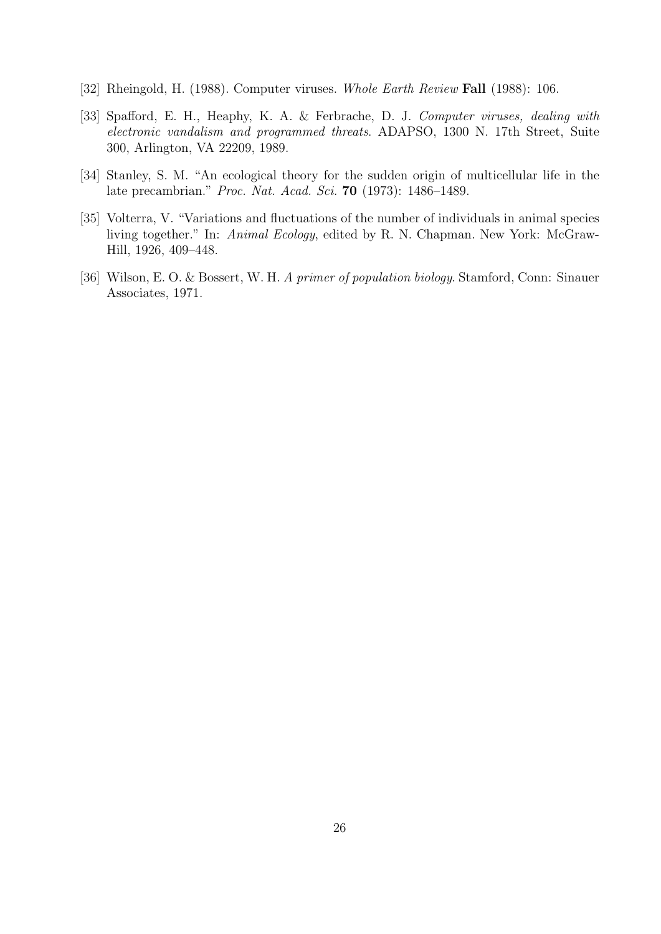- [32] Rheingold, H. (1988). Computer viruses. Whole Earth Review Fall (1988): 106.
- [33] Spafford, E. H., Heaphy, K. A. & Ferbrache, D. J. Computer viruses, dealing with electronic vandalism and programmed threats. ADAPSO, 1300 N. 17th Street, Suite 300, Arlington, VA 22209, 1989.
- [34] Stanley, S. M. "An ecological theory for the sudden origin of multicellular life in the late precambrian." *Proc. Nat. Acad. Sci.* **70** (1973): 1486–1489.
- [35] Volterra, V. "Variations and fluctuations of the number of individuals in animal species living together." In: Animal Ecology, edited by R. N. Chapman. New York: McGraw-Hill, 1926, 409–448.
- [36] Wilson, E. O. & Bossert, W. H. A primer of population biology. Stamford, Conn: Sinauer Associates, 1971.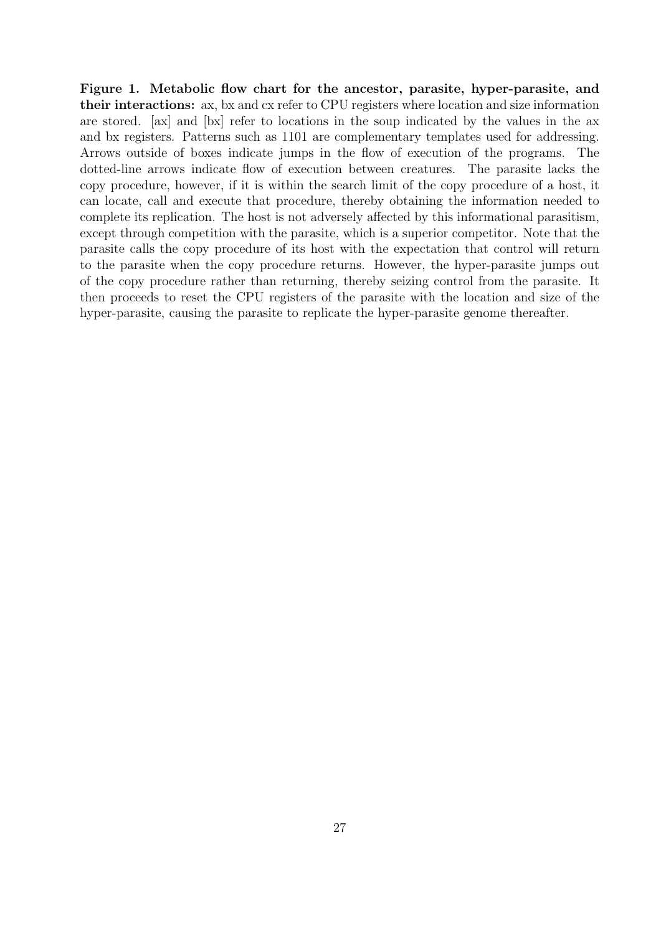Figure 1. Metabolic flow chart for the ancestor, parasite, hyper-parasite, and their interactions: ax, bx and cx refer to CPU registers where location and size information are stored. [ax] and [bx] refer to locations in the soup indicated by the values in the ax and bx registers. Patterns such as 1101 are complementary templates used for addressing. Arrows outside of boxes indicate jumps in the flow of execution of the programs. The dotted-line arrows indicate flow of execution between creatures. The parasite lacks the copy procedure, however, if it is within the search limit of the copy procedure of a host, it can locate, call and execute that procedure, thereby obtaining the information needed to complete its replication. The host is not adversely affected by this informational parasitism, except through competition with the parasite, which is a superior competitor. Note that the parasite calls the copy procedure of its host with the expectation that control will return to the parasite when the copy procedure returns. However, the hyper-parasite jumps out of the copy procedure rather than returning, thereby seizing control from the parasite. It then proceeds to reset the CPU registers of the parasite with the location and size of the hyper-parasite, causing the parasite to replicate the hyper-parasite genome thereafter.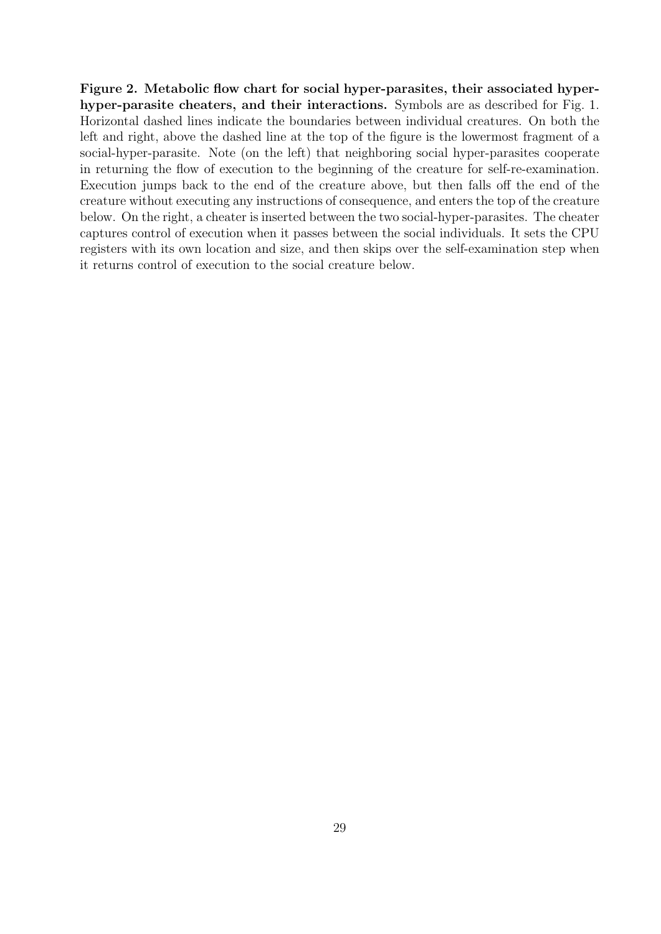Figure 2. Metabolic flow chart for social hyper-parasites, their associated hyperhyper-parasite cheaters, and their interactions. Symbols are as described for Fig. 1. Horizontal dashed lines indicate the boundaries between individual creatures. On both the left and right, above the dashed line at the top of the figure is the lowermost fragment of a social-hyper-parasite. Note (on the left) that neighboring social hyper-parasites cooperate in returning the flow of execution to the beginning of the creature for self-re-examination. Execution jumps back to the end of the creature above, but then falls off the end of the creature without executing any instructions of consequence, and enters the top of the creature below. On the right, a cheater is inserted between the two social-hyper-parasites. The cheater captures control of execution when it passes between the social individuals. It sets the CPU registers with its own location and size, and then skips over the self-examination step when it returns control of execution to the social creature below.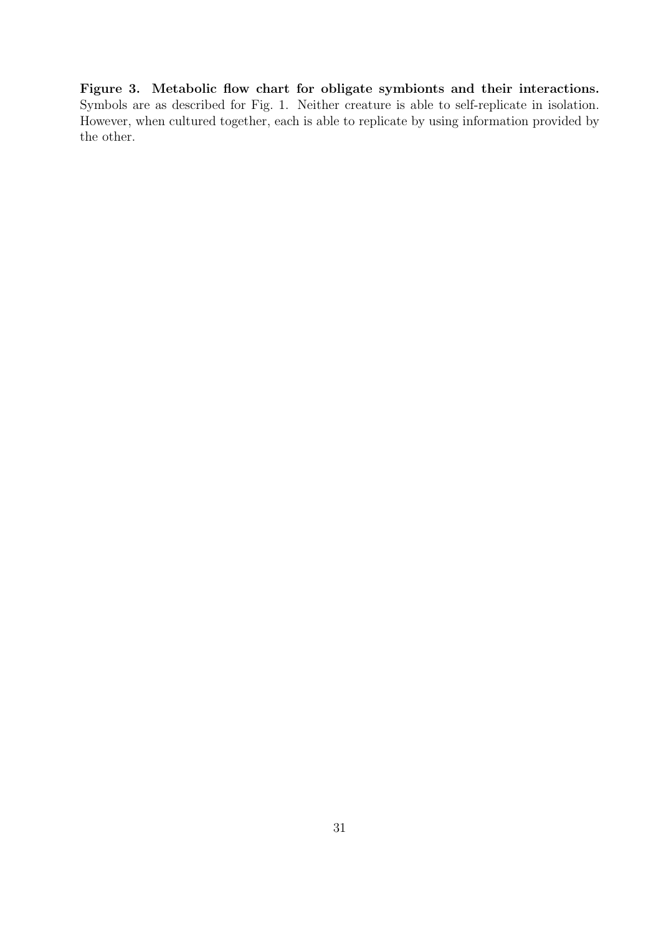Figure 3. Metabolic flow chart for obligate symbionts and their interactions. Symbols are as described for Fig. 1. Neither creature is able to self-replicate in isolation. However, when cultured together, each is able to replicate by using information provided by the other.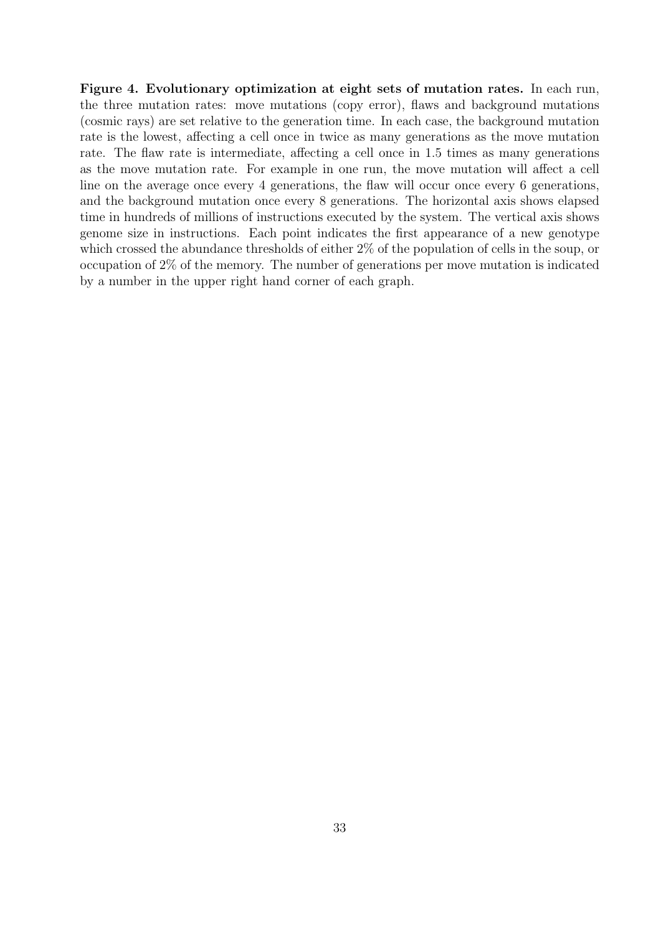Figure 4. Evolutionary optimization at eight sets of mutation rates. In each run, the three mutation rates: move mutations (copy error), flaws and background mutations (cosmic rays) are set relative to the generation time. In each case, the background mutation rate is the lowest, affecting a cell once in twice as many generations as the move mutation rate. The flaw rate is intermediate, affecting a cell once in 1.5 times as many generations as the move mutation rate. For example in one run, the move mutation will affect a cell line on the average once every 4 generations, the flaw will occur once every 6 generations, and the background mutation once every 8 generations. The horizontal axis shows elapsed time in hundreds of millions of instructions executed by the system. The vertical axis shows genome size in instructions. Each point indicates the first appearance of a new genotype which crossed the abundance thresholds of either 2% of the population of cells in the soup, or occupation of 2% of the memory. The number of generations per move mutation is indicated by a number in the upper right hand corner of each graph.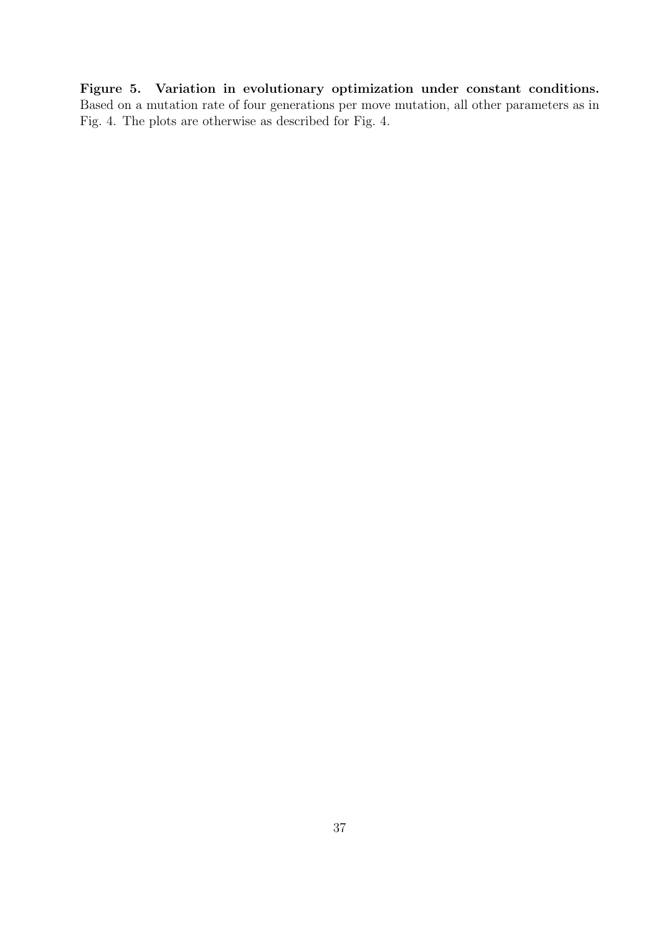### Figure 5. Variation in evolutionary optimization under constant conditions.

Based on a mutation rate of four generations per move mutation, all other parameters as in Fig. 4. The plots are otherwise as described for Fig. 4.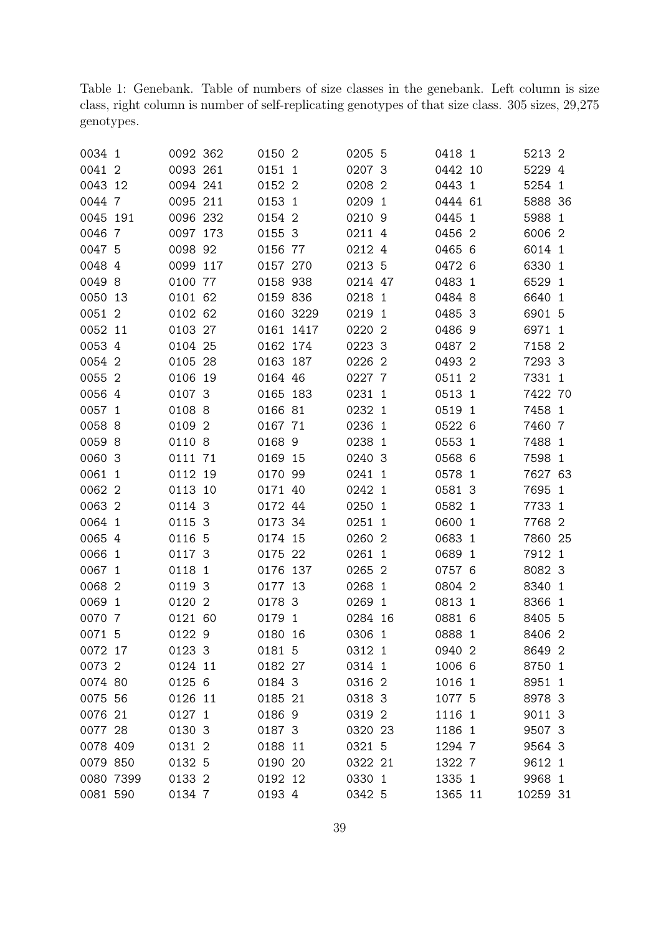Table 1: Genebank. Table of numbers of size classes in the genebank. Left column is size class, right column is number of self-replicating genotypes of that size class. 305 sizes, 29,275 genotypes.

| 0034 1    |              | 0092 362 | 0150 2    | 0205 5  | 0418 1  |    | 5213 2   |  |
|-----------|--------------|----------|-----------|---------|---------|----|----------|--|
| 0041 2    |              | 0093 261 | 0151 1    | 0207 3  | 0442 10 |    | 5229 4   |  |
| 0043 12   |              | 0094 241 | 0152 2    | 0208 2  | 0443 1  |    | 5254 1   |  |
| 0044 7    |              | 0095 211 | 0153 1    | 0209 1  | 0444 61 |    | 5888 36  |  |
| 0045 191  |              | 0096 232 | 0154 2    | 0210 9  | 0445 1  |    | 5988 1   |  |
| 0046 7    |              | 0097 173 | 0155 3    | 0211 4  | 0456 2  |    | 6006 2   |  |
| 0047 5    |              | 0098 92  | 0156 77   | 0212 4  | 0465 6  |    | 6014 1   |  |
| 0048 4    |              | 0099 117 | 0157 270  | 0213 5  | 0472 6  |    | 6330 1   |  |
| 0049 8    |              | 0100 77  | 0158 938  | 0214 47 | 0483 1  |    | 6529 1   |  |
| 0050 13   |              | 0101 62  | 0159 836  | 0218 1  | 0484 8  |    | 6640 1   |  |
| 0051 2    |              | 0102 62  | 0160 3229 | 0219 1  | 0485 3  |    | 6901 5   |  |
| 0052 11   |              | 0103 27  | 0161 1417 | 0220 2  | 0486 9  |    | 6971 1   |  |
| 0053 4    |              | 0104 25  | 0162 174  | 0223 3  | 0487 2  |    | 7158 2   |  |
| 0054 2    |              | 0105 28  | 0163 187  | 0226 2  | 0493 2  |    | 7293 3   |  |
| 0055 2    |              | 0106 19  | 0164 46   | 0227 7  | 0511 2  |    | 7331 1   |  |
| 0056 4    |              | 0107 3   | 0165 183  | 0231 1  | 0513 1  |    | 7422 70  |  |
| 0057 1    |              | 0108 8   | 0166 81   | 0232 1  | 0519 1  |    | 7458 1   |  |
| 0058 8    |              | 0109 2   | 0167 71   | 0236 1  | 0522 6  |    | 7460 7   |  |
| 0059 8    |              | 0110 8   | 0168 9    | 0238 1  | 0553 1  |    | 7488 1   |  |
| 0060 3    |              | 0111 71  | 0169 15   | 0240 3  | 0568 6  |    | 7598 1   |  |
| 0061 1    |              | 0112 19  | 0170 99   | 0241 1  | 0578 1  |    | 7627 63  |  |
| 0062 2    |              | 0113 10  | 0171 40   | 0242 1  | 0581 3  |    | 7695 1   |  |
| 0063 2    |              | 0114 3   | 0172 44   | 0250 1  | 0582 1  |    | 7733 1   |  |
| 0064 1    |              | 0115 3   | 0173 34   | 0251 1  | 0600 1  |    | 7768 2   |  |
| 0065 4    |              | 0116 5   | 0174 15   | 0260 2  | 0683 1  |    | 7860 25  |  |
| 0066 1    |              | 0117 3   | 0175 22   | 0261 1  | 0689    | -1 | 7912 1   |  |
| 0067 1    |              | 0118 1   | 0176 137  | 0265 2  | 0757 6  |    | 8082 3   |  |
| 0068 2    |              | 0119 3   | 0177 13   | 0268 1  | 0804 2  |    | 8340 1   |  |
| 0069      | $\mathbf{1}$ | 0120 2   | 0178 3    | 0269 1  | 0813 1  |    | 8366 1   |  |
| 0070      | -7           | 0121 60  | 0179 1    | 0284 16 | 0881 6  |    | 8405 5   |  |
| 0071 5    |              | 0122 9   | 0180 16   | 0306 1  | 0888 1  |    | 8406 2   |  |
| 0072 17   |              | 0123 3   | 0181 5    | 0312 1  | 0940 2  |    | 8649 2   |  |
| 0073 2    |              | 0124 11  | 0182 27   | 0314 1  | 1006 6  |    | 8750 1   |  |
| 0074 80   |              | 0125 6   | 0184 3    | 0316 2  | 1016 1  |    | 8951 1   |  |
| 0075 56   |              | 0126 11  | 0185 21   | 0318 3  | 1077 5  |    | 8978 3   |  |
| 0076 21   |              | 0127 1   | 0186 9    | 0319 2  | 1116 1  |    | 9011 3   |  |
| 0077 28   |              | 0130 3   | 0187 3    | 0320 23 | 1186 1  |    | 9507 3   |  |
| 0078 409  |              | 0131 2   | 0188 11   | 0321 5  | 1294 7  |    | 9564 3   |  |
| 0079 850  |              | 0132 5   | 0190 20   | 0322 21 | 1322 7  |    | 9612 1   |  |
| 0080 7399 |              | 0133 2   | 0192 12   | 0330 1  | 1335 1  |    | 9968 1   |  |
| 0081 590  |              | 0134 7   | 0193 4    | 0342 5  | 1365 11 |    | 10259 31 |  |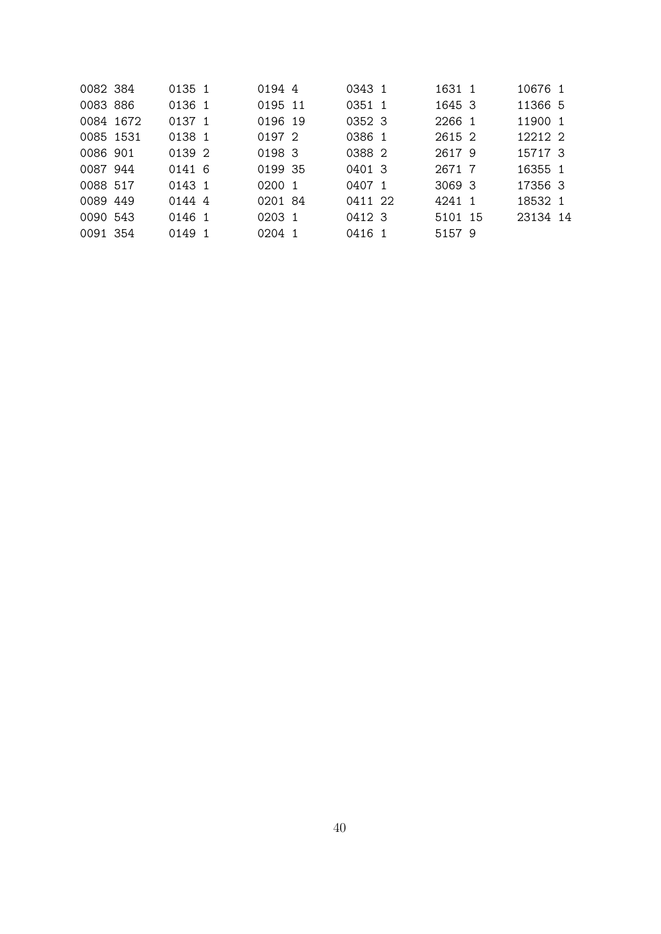| 11366 5<br>0083 886<br>0136 1<br>0195 11<br>0351 1<br>1645 3<br>0084 1672<br>0137 1<br>0196 19<br>0352 3<br>11900 1<br>2266 1<br>0085 1531<br>0138 1<br>12212 2<br>0197 2<br>0386 1<br>2615 2<br>0139 2<br>0198 3<br>0388 2<br>0086 901<br>15717 3<br>26179<br>0199 35<br>0087 944<br>16355 1<br>0141 6<br>0401 3<br>2671 7<br>0088 517<br>0143 1<br>0200 1<br>3069 3<br>173563<br>0407 1<br>0144 4<br>18532 1<br>0089 449<br>0201 84<br>0411 22<br>4241 1<br>0090 543<br>0146 1<br>0203 1<br>0412 3<br>23134 14<br>5101 15<br>0091 354<br>0149 1<br>0204 1<br>0416 1<br>5157 9 | 0082 384 | 0135 1 | 0194 4 | 0343 1 | 1631 1 | 10676 1 |  |
|---------------------------------------------------------------------------------------------------------------------------------------------------------------------------------------------------------------------------------------------------------------------------------------------------------------------------------------------------------------------------------------------------------------------------------------------------------------------------------------------------------------------------------------------------------------------------------|----------|--------|--------|--------|--------|---------|--|
|                                                                                                                                                                                                                                                                                                                                                                                                                                                                                                                                                                                 |          |        |        |        |        |         |  |
|                                                                                                                                                                                                                                                                                                                                                                                                                                                                                                                                                                                 |          |        |        |        |        |         |  |
|                                                                                                                                                                                                                                                                                                                                                                                                                                                                                                                                                                                 |          |        |        |        |        |         |  |
|                                                                                                                                                                                                                                                                                                                                                                                                                                                                                                                                                                                 |          |        |        |        |        |         |  |
|                                                                                                                                                                                                                                                                                                                                                                                                                                                                                                                                                                                 |          |        |        |        |        |         |  |
|                                                                                                                                                                                                                                                                                                                                                                                                                                                                                                                                                                                 |          |        |        |        |        |         |  |
|                                                                                                                                                                                                                                                                                                                                                                                                                                                                                                                                                                                 |          |        |        |        |        |         |  |
|                                                                                                                                                                                                                                                                                                                                                                                                                                                                                                                                                                                 |          |        |        |        |        |         |  |
|                                                                                                                                                                                                                                                                                                                                                                                                                                                                                                                                                                                 |          |        |        |        |        |         |  |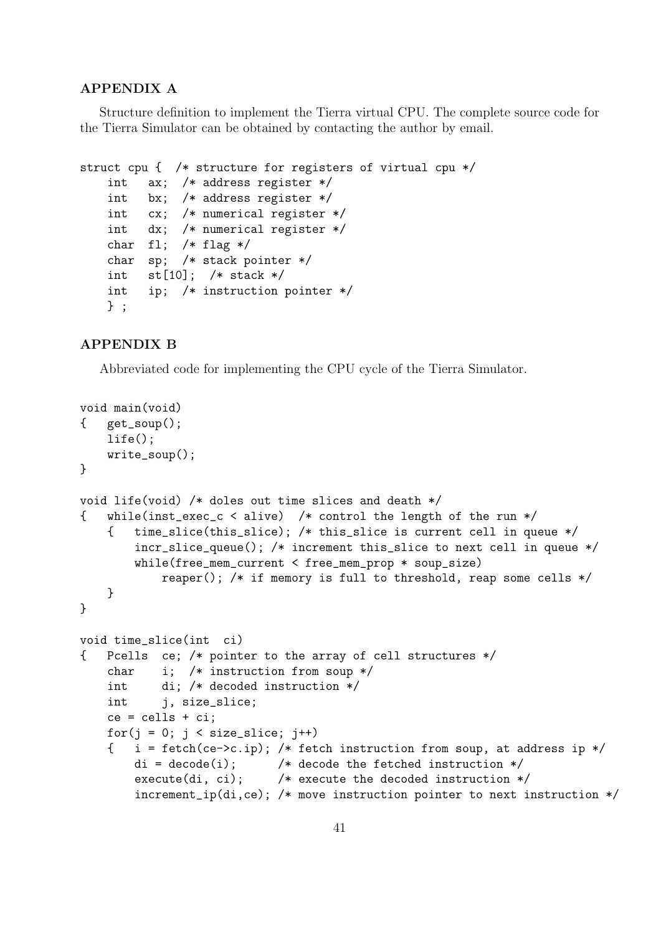#### APPENDIX A

Structure definition to implement the Tierra virtual CPU. The complete source code for the Tierra Simulator can be obtained by contacting the author by email.

```
struct cpu { /* structure for registers of virtual cpu */
   int ax; /* address register */
   int bx; /* address register */
   int cx; /* numerical register */
   int dx; /* numerical register */
   char fl; /* flag */char sp; /* stack pointer */
   int st[10]; /* stack */
   int ip; /* instruction pointer */
   } ;
```
#### APPENDIX B

Abbreviated code for implementing the CPU cycle of the Tierra Simulator.

```
void main(void)
{ get_soup();
   life();
   write_soup();
}
void life(void) /* doles out time slices and death */
{ while(inst_exec_c < alive) /* control the length of the run */
   { time_slice(this_slice); /* this_slice is current cell in queue */
       incr_slice_queue(); /* increment this_slice to next cell in queue */
       while(free_mem_current < free_mem_prop * soup_size)
           reaper(); /* if memory is full to threshold, reap some cells */}
}
void time_slice(int ci)
{ Pcells ce; /* pointer to the array of cell structures */
   char i; /* instruction from soup */
   int di; /* decoded instruction */
   int j, size_slice;
   ce = cells + ci;for(j = 0; j < size_slice; j++)\{ i = fetch(ce->c.ip) ; /* fetch instruction from soup, at address ip */
       di = decode(i); /* decode the fetched instruction */
       execute(di, ci); /* execute the decoded instruction */
       increment_ip(di,ce); /* move instruction pointer to next instruction */
```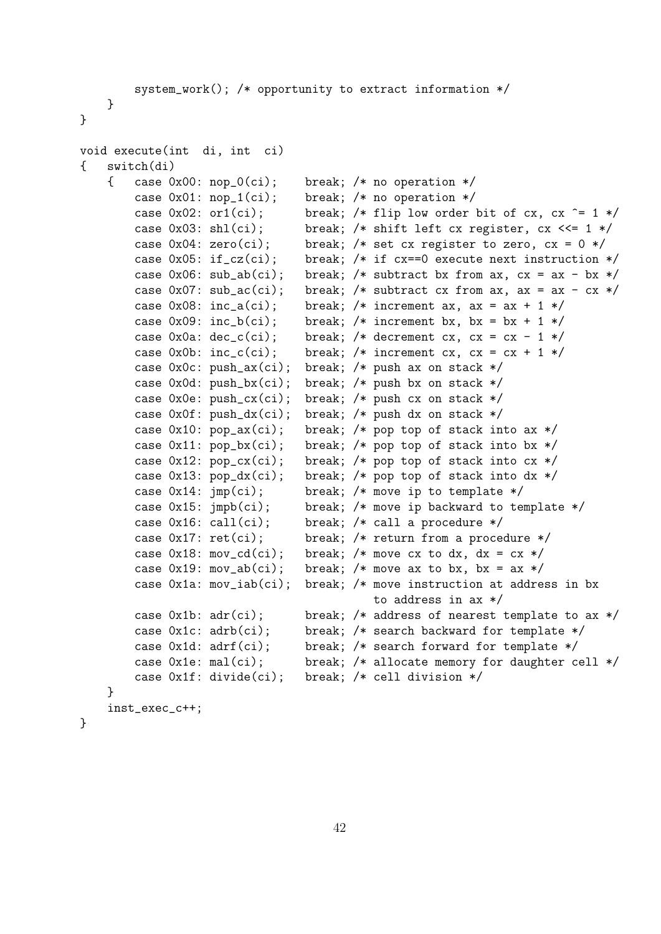```
system_work(); /* opportunity to extract information */
   }
}
void execute(int di, int ci)
{ switch(di)
   { case 0x00: nop_0(ci); break; /* no operation */
       case 0x01: nop_1(ci); break; /* no operation */
       case 0x02: or1(ci); break; /* flip low order bit of cx, cx \hat{ } = 1 */
       case 0x03: shl(ci); break; /* shift left cx register, cx <<= 1 */
       case 0x04: zero(ci); break; /* set cx register to zero, cx = 0 */
       case 0x05: if_cz(ci); break; /* if cx==0 execute next instruction */
       case 0x06: sub_ab(ci); break; /* subtract bx from ax, cx = ax - bx */
       case 0x07: sub_ac(ci); break; /* subtract cx from ax, ax = ax - cx */
       case 0x08: inc_a(ci); break; /* increment ax, ax = ax + 1 */
       case 0x09: inc_b(ci); break; /* increment bx, bx = bx + 1 */
       case 0x0a: dec_c(ci); break; /* decrement cx, cx = cx - 1 */
       case 0x0b: inc_c(ci); break; /* increment cx, cx = cx + 1 */
       case 0x0c: push_ax(ci); break; /* push ax on stack */
       case 0x0d: push_bx(ci); break; /* push bx on stack */
       case 0x0e: push_cx(ci); break; /* push cx on stack */
       case 0x0f: push_dx(ci); break; /* push dx on stack */
       case 0x10: pop_ax(ci); break; /* pop top of stack into ax */
       case 0x11: pop_bx(ci); break; /* pop top of stack into bx */
       case 0x12: pop_cx(ci); break; /* pop top of stack into cx */
       case 0x13: pop_dx(ci); break; /* pop top of stack into dx */
       case 0x14: jmp(ci); break; /* move ip to template */
       case 0x15: jmpb(ci); break; /* move ip backward to template */
       case 0x16: call(ci); break; /* call a procedure */
       case 0x17: ret(ci); break; /* return from a procedure */
       case 0x18: mov_cd(ci); break; /* move cx to dx, dx = cx */
       case 0x19: mov_ab(ci); break; /* move ax to bx, bx = ax */
       case 0x1a: mov_iab(ci); break; /* move instruction at address in bx
                                         to address in ax */
       case 0x1b: adr(ci); break; /* address of nearest template to ax */
       case 0x1c: adrb(ci); break; /* search backward for template */
       case 0x1d: adrf(ci); break; /* search forward for template */
       case 0x1e: mal(ci); break; /* allocate memory for daughter cell */
       case 0x1f: divide(ci); break; /* cell division */
   }
   inst_exec_c++;
```
}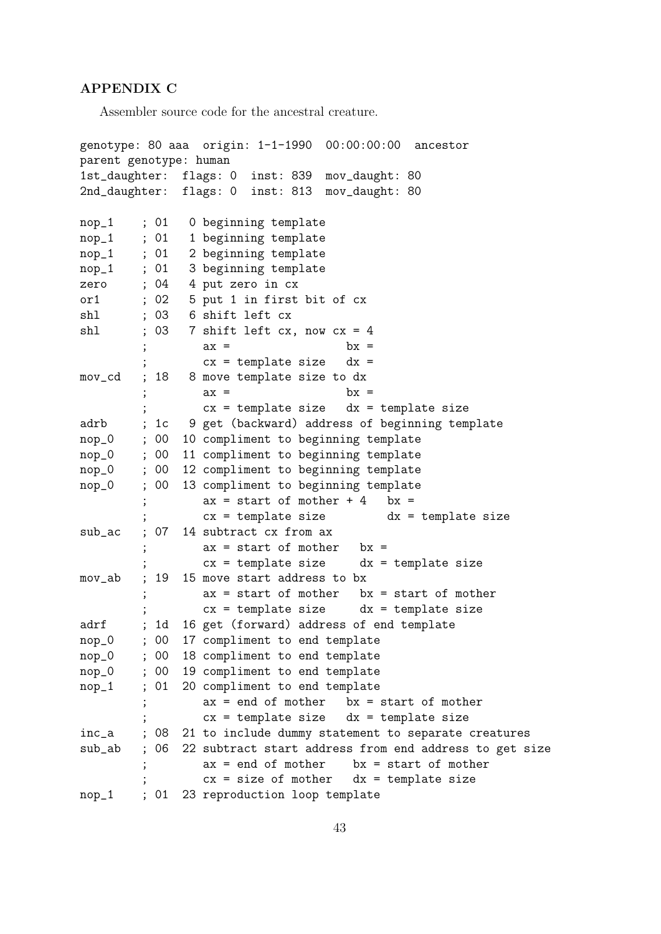#### APPENDIX C

Assembler source code for the ancestral creature.

```
genotype: 80 aaa origin: 1-1-1990 00:00:00:00 ancestor
parent genotype: human
1st_daughter: flags: 0 inst: 839 mov_daught: 80
2nd_daughter: flags: 0 inst: 813 mov_daught: 80
nop_1 ; 01 0 beginning template
nop_1 ; 01 1 beginning template
nop_1 ; 01 2 beginning template
nop_1 ; 01 3 beginning template
zero ; 04 4 put zero in cx
or1 ; 02 5 put 1 in first bit of cx
shl ; 03 6 shift left cx
shl ; 03 7 shift left cx, now cx = 4
               ax = bx =
                cx = template size dx =
mov_cd ; 18 8 move template size to dx
               ax = bx =
        ; cx = template size dx = template size
adrb ; 1c 9 get (backward) address of beginning template
nop_0 ; 00 10 compliment to beginning template
nop_0 ; 00 11 compliment to beginning template
nop_0 ; 00 12 compliment to beginning template
nop_0 ; 00 13 compliment to beginning template
        ; ax = start of mother + 4 bx =
                cx = template size dx = template size
sub_ac ; 07 14 subtract cx from ax
        ; ax = start of mother bx =
                cx = template size dx = template sizemov_ab ; 19 15 move start address to bx
        ; ax = start of mother bx = start of mother
                cx = template size dx = template sizeadrf ; 1d 16 get (forward) address of end template
nop_0 ; 00 17 compliment to end template
nop_0 ; 00 18 compliment to end template
nop_0 ; 00 19 compliment to end template
nop_1 ; 01 20 compliment to end template
                ax = end of mother bx = start of mother
                cx = template size dx = template sizeinc_a ; 08 21 to include dummy statement to separate creatures
sub_ab ; 06 22 subtract start address from end address to get size
        ; ax = end of mother bx = start of mother
                cx = size of mother dx = template sizenop_1 ; 01 23 reproduction loop template
```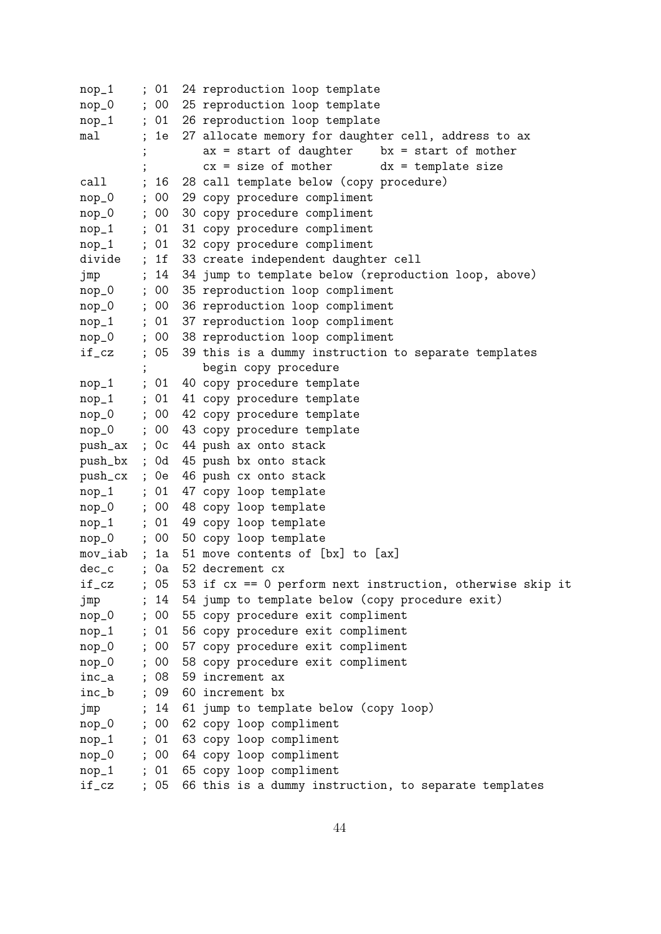| $nop_1$       | ; 01                                     | 24 reproduction loop template                               |
|---------------|------------------------------------------|-------------------------------------------------------------|
|               |                                          | nop_0 ; 00 25 reproduction loop template                    |
| $nop_1$ ; 01  |                                          | 26 reproduction loop template                               |
| mal           | ; 1e                                     | 27 allocate memory for daughter cell, address to ax         |
|               |                                          | $ax = start of daughter$ bx = start of mother               |
|               |                                          | $cx = size of mother$ $dx = template size$                  |
| call          | ; 16                                     | 28 call template below (copy procedure)                     |
| $nop_0$       | ; 00                                     | 29 copy procedure compliment                                |
| nop_0 ; 00    |                                          | 30 copy procedure compliment                                |
| $nop_1$ ; 01  |                                          | 31 copy procedure compliment                                |
| $nop_1$ ; 01  |                                          | 32 copy procedure compliment                                |
| divide ; 1f   |                                          | 33 create independent daughter cell                         |
| jmp           | ; 14                                     | 34 jump to template below (reproduction loop, above)        |
| $nop_0$       | ; 00                                     | 35 reproduction loop compliment                             |
| nop_0 ; 00    |                                          | 36 reproduction loop compliment                             |
| $nop_1$ ; 01  |                                          | 37 reproduction loop compliment                             |
| nop_0 ; 00    |                                          | 38 reproduction loop compliment                             |
| $if\_cz$ ; 05 |                                          | 39 this is a dummy instruction to separate templates        |
|               |                                          | begin copy procedure                                        |
|               |                                          | nop_1 ; 01 40 copy procedure template                       |
|               |                                          | nop_1 ; 01 41 copy procedure template                       |
|               |                                          | nop_0 ; 00 42 copy procedure template                       |
|               |                                          | nop_0 ; 00 43 copy procedure template                       |
| push_ax ; Oc  |                                          | 44 push ax onto stack                                       |
|               |                                          | push_bx ; 0d 45 push bx onto stack                          |
|               |                                          | push_cx ; 0e 46 push cx onto stack                          |
|               |                                          | nop_1 ; 01 47 copy loop template                            |
|               |                                          | nop_0 ; 00 48 copy loop template                            |
|               |                                          | nop_1 ; 01 49 copy loop template                            |
| nop_0 ; 00    |                                          | 50 copy loop template                                       |
| mov_iab ; 1a  |                                          | 51 move contents of [bx] to [ax]                            |
| dec_c ; 0a    |                                          | 52 decrement cx                                             |
| $if\_cz$ ; 05 |                                          | 53 if $cx == 0$ perform next instruction, otherwise skip it |
| jmp           | 14                                       | 54 jump to template below (copy procedure exit)             |
| $nop_0$       | $\,; 00$                                 | 55 copy procedure exit compliment                           |
| $nop_1 ; 01$  |                                          | 56 copy procedure exit compliment                           |
| $nop_0$       | $\begin{matrix} \cdot & 00 \end{matrix}$ | 57 copy procedure exit compliment                           |
| $nop_0$       | ; 00                                     | 58 copy procedure exit compliment                           |
| inc_a         | : 08                                     | 59 increment ax                                             |
| $inc_b$       | ; 09                                     | 60 increment bx                                             |
| jmp           | ; 14                                     | 61 jump to template below (copy loop)                       |
| $nop_0$       | ; 00                                     | 62 copy loop compliment                                     |
| $nop_1$ ; 01  |                                          | 63 copy loop compliment                                     |
| $nop_0$       |                                          | ; 00 64 copy loop compliment                                |
| $nop_1$ ; 01  |                                          | 65 copy loop compliment                                     |
| $if\_cz$      | 05                                       | 66 this is a dummy instruction, to separate templates       |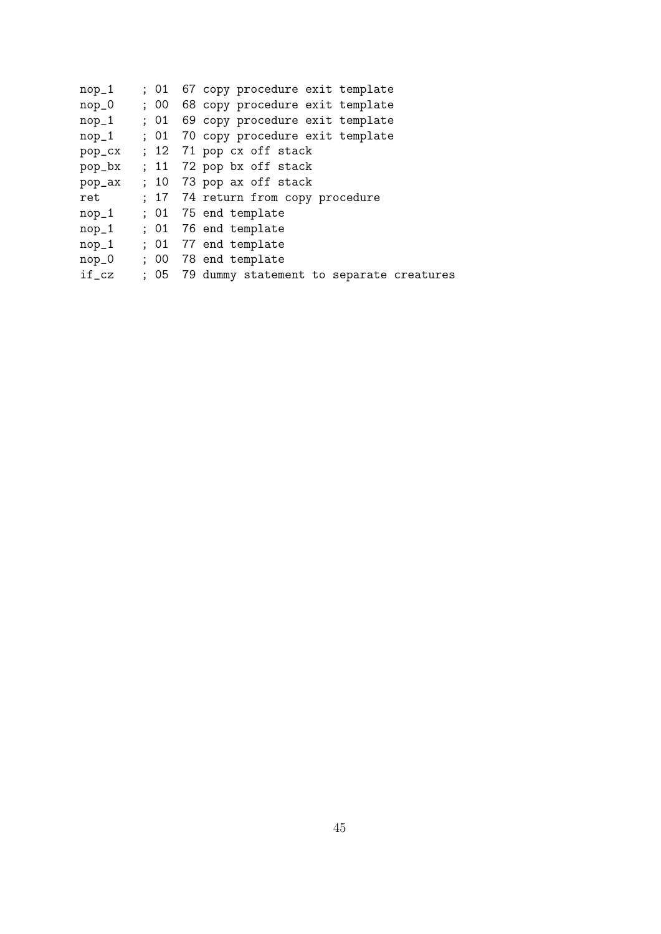| 67 copy procedure exit template               |
|-----------------------------------------------|
| 68 copy procedure exit template               |
| ; 01 69 copy procedure exit template          |
| ; 01 70 copy procedure exit template          |
|                                               |
|                                               |
|                                               |
| ; 17 74 return from copy procedure            |
|                                               |
|                                               |
|                                               |
|                                               |
| ; 05 79 dummy statement to separate creatures |
|                                               |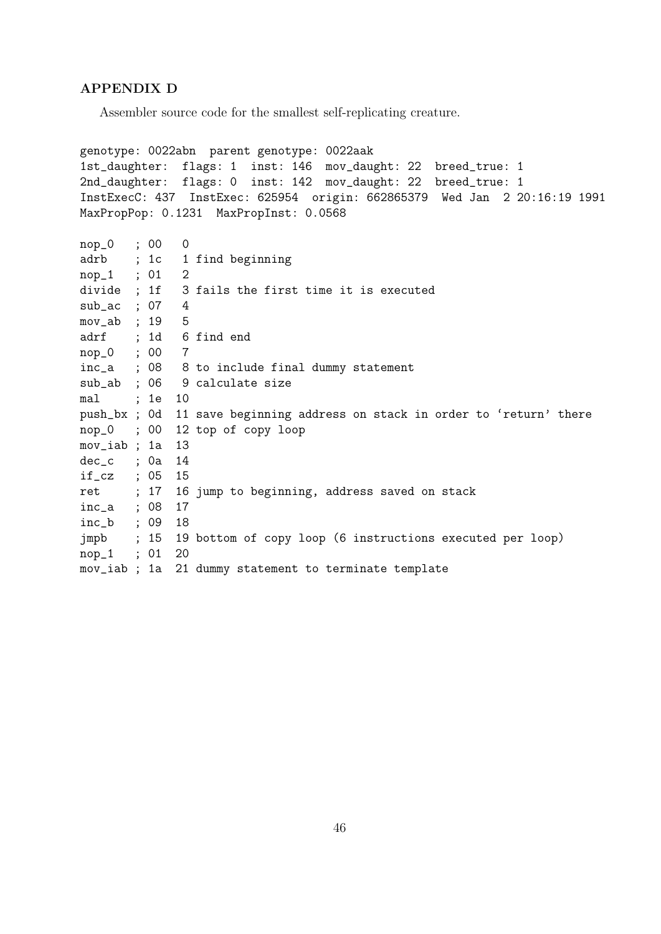#### APPENDIX D

Assembler source code for the smallest self-replicating creature.

genotype: 0022abn parent genotype: 0022aak 1st\_daughter: flags: 1 inst: 146 mov\_daught: 22 breed\_true: 1 2nd\_daughter: flags: 0 inst: 142 mov\_daught: 22 breed\_true: 1 InstExecC: 437 InstExec: 625954 origin: 662865379 Wed Jan 2 20:16:19 1991 MaxPropPop: 0.1231 MaxPropInst: 0.0568

| $nop_0$ ; 00  |  | $\Omega$ |                                                                           |
|---------------|--|----------|---------------------------------------------------------------------------|
|               |  |          | adrb ; 1c 1 find beginning                                                |
| $nop_1$ ; 01  |  | 2        |                                                                           |
|               |  |          | divide ; 1f 3 fails the first time it is executed                         |
| $sub_ac$ ; 07 |  | 4        |                                                                           |
| $mov_ab$ ; 19 |  | 5        |                                                                           |
|               |  |          | adrf ; 1d 6 find end                                                      |
| nop_0 ; 00    |  | 7        |                                                                           |
|               |  |          | inc_a ; 08 8 to include final dummy statement                             |
|               |  |          | sub_ab ; 06 9 calculate size                                              |
| mal ; 1e 10   |  |          |                                                                           |
|               |  |          | push_bx; Od 11 save beginning address on stack in order to 'return' there |
|               |  |          | nop_0 ; 00 12 top of copy loop                                            |
| mov_iab ; 1a  |  | 13       |                                                                           |
| dec_c ; Oa    |  | 14       |                                                                           |
| $if\_cz$ ; 05 |  | 15       |                                                                           |
| ret ; 17      |  |          | 16 jump to beginning, address saved on stack                              |
| $inc_a$ ; 08  |  | 17       |                                                                           |
| $inc_b$ ; 09  |  | 18       |                                                                           |
|               |  |          | jmpb ; 15 19 bottom of copy loop (6 instructions executed per loop)       |
| $nop_1$ ; 01  |  | 20       |                                                                           |
|               |  |          | mov_iab ; 1a 21 dummy statement to terminate template                     |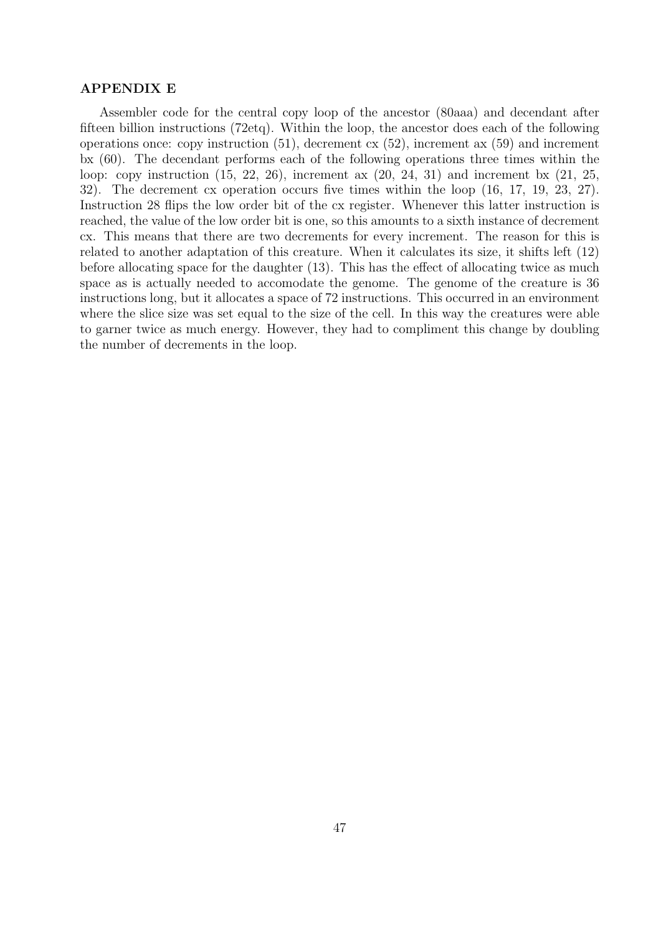#### APPENDIX E

Assembler code for the central copy loop of the ancestor (80aaa) and decendant after fifteen billion instructions (72etq). Within the loop, the ancestor does each of the following operations once: copy instruction  $(51)$ , decrement cx  $(52)$ , increment ax  $(59)$  and increment bx (60). The decendant performs each of the following operations three times within the loop: copy instruction (15, 22, 26), increment ax (20, 24, 31) and increment bx (21, 25, 32). The decrement cx operation occurs five times within the loop (16, 17, 19, 23, 27). Instruction 28 flips the low order bit of the cx register. Whenever this latter instruction is reached, the value of the low order bit is one, so this amounts to a sixth instance of decrement cx. This means that there are two decrements for every increment. The reason for this is related to another adaptation of this creature. When it calculates its size, it shifts left (12) before allocating space for the daughter (13). This has the effect of allocating twice as much space as is actually needed to accomodate the genome. The genome of the creature is 36 instructions long, but it allocates a space of 72 instructions. This occurred in an environment where the slice size was set equal to the size of the cell. In this way the creatures were able to garner twice as much energy. However, they had to compliment this change by doubling the number of decrements in the loop.